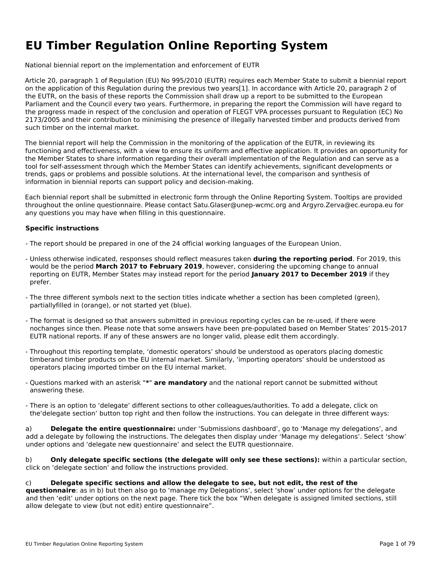# **EU Timber Regulation Online Reporting System**

National biennial report on the implementation and enforcement of EUTR

Article 20, paragraph 1 of Regulation (EU) No 995/2010 (EUTR) requires each Member State to submit a biennial report on the application of this Regulation during the previous two years[1]. In accordance with Article 20, paragraph 2 of the EUTR, on the basis of these reports the Commission shall draw up a report to be submitted to the European Parliament and the Council every two years. Furthermore, in preparing the report the Commission will have regard to the progress made in respect of the conclusion and operation of FLEGT VPA processes pursuant to Regulation (EC) No 2173/2005 and their contribution to minimising the presence of illegally harvested timber and products derived from such timber on the internal market.

The biennial report will help the Commission in the monitoring of the application of the EUTR, in reviewing its functioning and effectiveness, with a view to ensure its uniform and effective application. It provides an opportunity for the Member States to share information regarding their overall implementation of the Regulation and can serve as a tool for self-assessment through which the Member States can identify achievements, significant developments or trends, gaps or problems and possible solutions. At the international level, the comparison and synthesis of information in biennial reports can support policy and decision-making.

Each biennial report shall be submitted in electronic form through the Online Reporting System. Tooltips are provided throughout the online questionnaire. Please contact Satu.Glaser@unep-wcmc.org and Argyro.Zerva@ec.europa.eu for any questions you may have when filling in this questionnaire.

### **Specific instructions**

- The report should be prepared in one of the 24 official working languages of the European Union.
- Unless otherwise indicated, responses should reflect measures taken **during the reporting period**. For 2019, this would be the period **March 2017 to February 2019**, however, considering the upcoming change to annual reporting on EUTR, Member States may instead report for the period **January 2017 to December 2019** if they prefer.
- The three different symbols next to the section titles indicate whether a section has been completed (green), partiallyfilled in (orange), or not started yet (blue).
- The format is designed so that answers submitted in previous reporting cycles can be re-used, if there were nochanges since then. Please note that some answers have been pre-populated based on Member States' 2015-2017 EUTR national reports. If any of these answers are no longer valid, please edit them accordingly.
- Throughout this reporting template, 'domestic operators' should be understood as operators placing domestic timberand timber products on the EU internal market. Similarly, 'importing operators' should be understood as operators placing imported timber on the EU internal market.
- Questions marked with an asterisk "**\***" **are mandatory** and the national report cannot be submitted without answering these.
- There is an option to 'delegate' different sections to other colleagues/authorities. To add a delegate, click on the'delegate section' button top right and then follow the instructions. You can delegate in three different ways:

a) **Delegate the entire questionnaire:** under 'Submissions dashboard', go to 'Manage my delegations', and add a delegate by following the instructions. The delegates then display under 'Manage my delegations'. Select 'show' under options and 'delegate new questionnaire' and select the EUTR questionnaire.

b) **Only delegate specific sections (the delegate will only see these sections):** within a particular section, click on 'delegate section' and follow the instructions provided.

#### c) **Delegate specific sections and allow the delegate to see, but not edit, the rest of the**

**questionnaire**: as in b) but then also go to 'manage my Delegations', select 'show' under options for the delegate and then 'edit' under options on the next page. There tick the box "When delegate is assigned limited sections, still allow delegate to view (but not edit) entire questionnaire".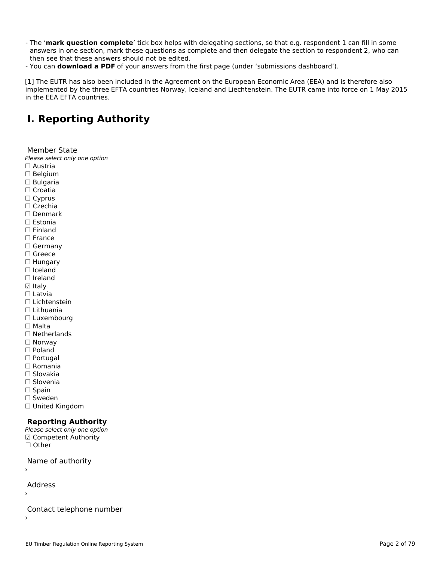- The '**mark question complete**' tick box helps with delegating sections, so that e.g. respondent 1 can fill in some answers in one section, mark these questions as complete and then delegate the section to respondent 2, who can then see that these answers should not be edited.
- You can **download a PDF** of your answers from the first page (under 'submissions dashboard').

[1] The EUTR has also been included in the Agreement on the European Economic Area (EEA) and is therefore also implemented by the three EFTA countries Norway, Iceland and Liechtenstein. The EUTR came into force on 1 May 2015 in the EEA EFTA countries.

## **I. Reporting Authority**

Member State *Please select only one option* ☐ Austria □ Belgium ☐ Bulgaria ☐ Croatia ☐ Cyprus ☐ Czechia ☐ Denmark ☐ Estonia ☐ Finland ☐ France ☐ Germany ☐ Greece ☐ Hungary ☐ Iceland ☐ Ireland ☑ Italy  $\Box$  Latvia ☐ Lichtenstein ☐ Lithuania ☐ Luxembourg ☐ Malta ☐ Netherlands ☐ Norway ☐ Poland ☐ Portugal ☐ Romania ☐ Slovakia ☐ Slovenia □ Spain ☐ Sweden ☐ United Kingdom

### **Reporting Authority**

*Please select only one option* ☑ Competent Authority ☐ Other

Name of authority

›

Address

›

›

Contact telephone number

EU Timber Regulation Online Reporting System Page 2 of 79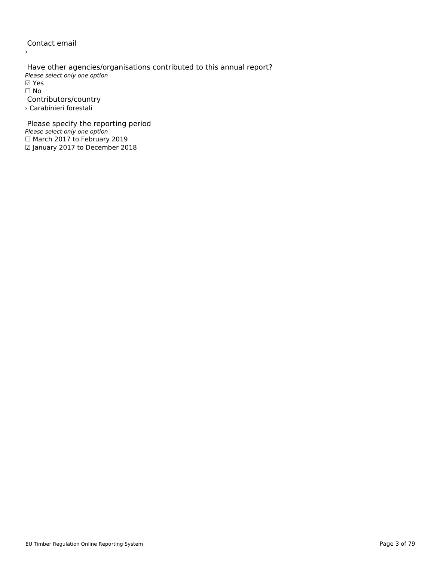Contact email

›

Have other agencies/organisations contributed to this annual report? *Please select only one option* ☑ Yes ☐ No Contributors/country › Carabinieri forestali

Please specify the reporting period *Please select only one option* ☐ March 2017 to February 2019 ☑ January 2017 to December 2018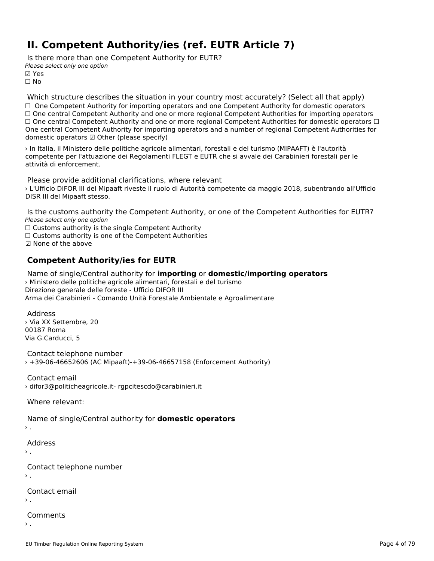## **II. Competent Authority/ies (ref. EUTR Article 7)**

Is there more than one Competent Authority for EUTR? *Please select only one option* ☑ Yes

☐ No

Which structure describes the situation in your country most accurately? (Select all that apply) ☐ One Competent Authority for importing operators and one Competent Authority for domestic operators □ One central Competent Authority and one or more regional Competent Authorities for importing operators ☐ One central Competent Authority and one or more regional Competent Authorities for domestic operators ☐ One central Competent Authority for importing operators and a number of regional Competent Authorities for domestic operators ☑ Other (please specify)

› In Italia, il Ministero delle politiche agricole alimentari, forestali e del turismo (MIPAAFT) è l'autorità competente per l'attuazione dei Regolamenti FLEGT e EUTR che si avvale dei Carabinieri forestali per le attività di enforcement.

Please provide additional clarifications, where relevant › L'Ufficio DIFOR III del Mipaaft riveste il ruolo di Autorità competente da maggio 2018, subentrando all'Ufficio DISR III del Mipaaft stesso.

Is the customs authority the Competent Authority, or one of the Competent Authorities for EUTR? *Please select only one option*

 $\Box$  Customs authority is the single Competent Authority

☐ Customs authority is one of the Competent Authorities

☑ None of the above

## **Competent Authority/ies for EUTR**

Name of single/Central authority for **importing** or **domestic/importing operators** › Ministero delle politiche agricole alimentari, forestali e del turismo Direzione generale delle foreste - Ufficio DIFOR III Arma dei Carabinieri - Comando Unità Forestale Ambientale e Agroalimentare

Address › Via XX Settembre, 20 00187 Roma Via G.Carducci, 5

Contact telephone number › +39-06-46652606 (AC Mipaaft)-+39-06-46657158 (Enforcement Authority)

Contact email › difor3@politicheagricole.it- rgpcitescdo@carabinieri.it

Where relevant:

Name of single/Central authority for **domestic operators**

 $\rightarrow$  .

### Address

 $\sum$ 

Contact telephone number

 $\rightarrow$  .

Contact email

› .

### Comments

 $\rightarrow$  .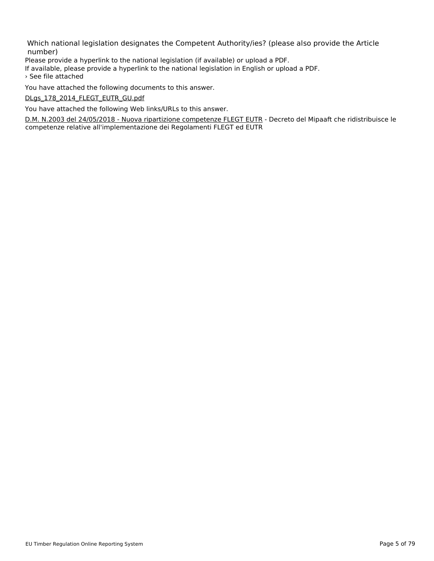Which national legislation designates the Competent Authority/ies? (please also provide the Article number)

Please provide a hyperlink to the national legislation (if available) or upload a PDF.

If available, please provide a hyperlink to the national legislation in English or upload a PDF.

› See file attached

You have attached the following documents to this answer.

DLgs\_178\_2014\_FLEGT\_EUTR\_GU.pdf

You have attached the following Web links/URLs to this answer.

D.M. N.2003 del 24/05/2018 - Nuova ripartizione competenze FLEGT EUTR - Decreto del Mipaaft che ridistribuisce le competenze relative all'implementazione dei Regolamenti FLEGT ed EUTR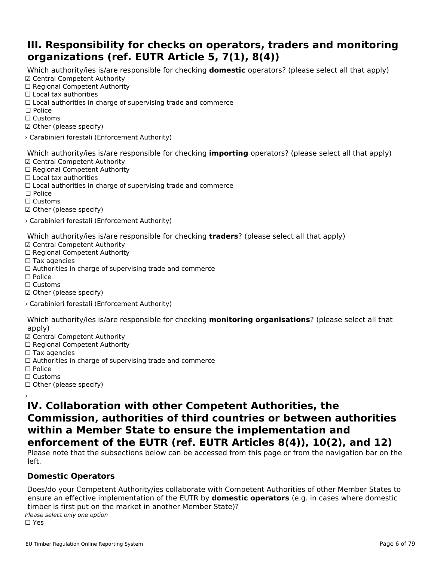## **III. Responsibility for checks on operators, traders and monitoring organizations (ref. EUTR Article 5, 7(1), 8(4))**

Which authority/ies is/are responsible for checking **domestic** operators? (please select all that apply) ☑ Central Competent Authority

☐ Regional Competent Authority

- ☐ Local tax authorities
- ☐ Local authorities in charge of supervising trade and commerce
- ☐ Police
- ☐ Customs

☑ Other (please specify)

› Carabinieri forestali (Enforcement Authority)

Which authority/ies is/are responsible for checking **importing** operators? (please select all that apply) ☑ Central Competent Authority

☐ Regional Competent Authority

☐ Local tax authorities

 $\Box$  Local authorities in charge of supervising trade and commerce

☐ Police

☐ Customs

☑ Other (please specify)

› Carabinieri forestali (Enforcement Authority)

Which authority/ies is/are responsible for checking **traders**? (please select all that apply)

☑ Central Competent Authority

☐ Regional Competent Authority

□ Tax agencies

☐ Authorities in charge of supervising trade and commerce

☐ Police

☐ Customs

☑ Other (please specify)

› Carabinieri forestali (Enforcement Authority)

Which authority/ies is/are responsible for checking **monitoring organisations**? (please select all that apply)

☑ Central Competent Authority

☐ Regional Competent Authority

□ Tax agencies

☐ Authorities in charge of supervising trade and commerce

☐ Police

☐ Customs

☐ Other (please specify)

## › **IV. Collaboration with other Competent Authorities, the Commission, authorities of third countries or between authorities within a Member State to ensure the implementation and enforcement of the EUTR (ref. EUTR Articles 8(4)), 10(2), and 12)**

Please note that the subsections below can be accessed from this page or from the navigation bar on the left.

## **Domestic Operators**

Does/do your Competent Authority/ies collaborate with Competent Authorities of other Member States to ensure an effective implementation of the EUTR by **domestic operators** (e.g. in cases where domestic timber is first put on the market in another Member State)? *Please select only one option* ☐ Yes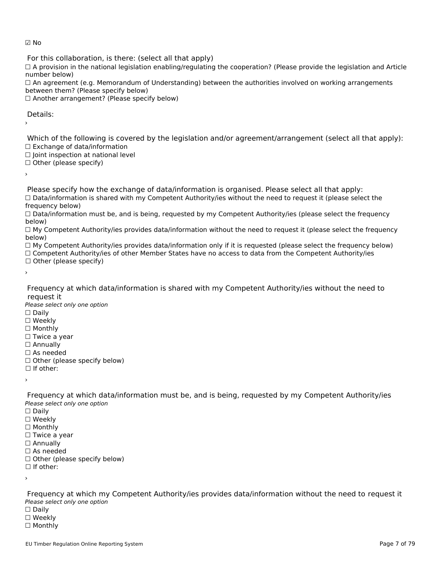#### ☑ No

For this collaboration, is there: (select all that apply)  $\Box$  A provision in the national legislation enabling/regulating the cooperation? (Please provide the legislation and Article number below)

 $\Box$  An agreement (e.g. Memorandum of Understanding) between the authorities involved on working arrangements between them? (Please specify below)

☐ Another arrangement? (Please specify below)

Details:

Which of the following is covered by the legislation and/or agreement/arrangement (select all that apply): ☐ Exchange of data/information

 $\Box$  Joint inspection at national level

☐ Other (please specify)

›

›

Please specify how the exchange of data/information is organised. Please select all that apply: □ Data/information is shared with my Competent Authority/ies without the need to request it (please select the frequency below)

☐ Data/information must be, and is being, requested by my Competent Authority/ies (please select the frequency below)

☐ My Competent Authority/ies provides data/information without the need to request it (please select the frequency below)

☐ My Competent Authority/ies provides data/information only if it is requested (please select the frequency below) ☐ Competent Authority/ies of other Member States have no access to data from the Competent Authority/ies ☐ Other (please specify)

›

Frequency at which data/information is shared with my Competent Authority/ies without the need to request it

*Please select only one option* ☐ Daily

☐ Weekly ☐ Monthly

□ Twice a year

□ Annually

□ As needed

 $\Box$  Other (please specify below)

 $\Box$  If other:

›

Frequency at which data/information must be, and is being, requested by my Competent Authority/ies *Please select only one option*

☐ Daily

☐ Weekly

☐ Monthly

□ Twice a year

☐ Annually

□ As needed

 $\Box$  Other (please specify below)

☐ If other:

›

Frequency at which my Competent Authority/ies provides data/information without the need to request it *Please select only one option* ☐ Daily ☐ Weekly ☐ Monthly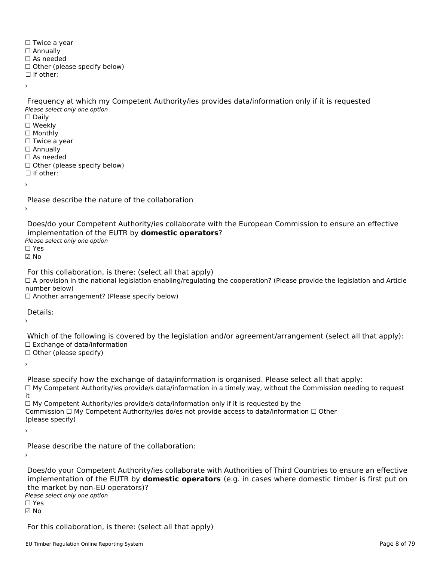| $\Box$ Other (please specify below) |
|-------------------------------------|
|                                     |
|                                     |

*Please select only one option*

›

›

›

›

›

›

›

☐ Daily ☐ Weekly ☐ Monthly □ Twice a year □ Annually □ As needed  $\Box$  Other (please specify below) ☐ If other: Please describe the nature of the collaboration Does/do your Competent Authority/ies collaborate with the European Commission to ensure an effective implementation of the EUTR by **domestic operators**? *Please select only one option* ☐ Yes ☑ No For this collaboration, is there: (select all that apply) □ A provision in the national legislation enabling/regulating the cooperation? (Please provide the legislation and Article number below) ☐ Another arrangement? (Please specify below) Details: Which of the following is covered by the legislation and/or agreement/arrangement (select all that apply): ☐ Exchange of data/information  $\Box$  Other (please specify) Please specify how the exchange of data/information is organised. Please select all that apply: ☐ My Competent Authority/ies provide/s data/information in a timely way, without the Commission needing to request it  $\Box$  My Competent Authority/ies provide/s data/information only if it is requested by the Commission □ My Competent Authority/ies do/es not provide access to data/information □ Other (please specify) Please describe the nature of the collaboration: Does/do your Competent Authority/ies collaborate with Authorities of Third Countries to ensure an effective implementation of the EUTR by **domestic operators** (e.g. in cases where domestic timber is first put on

Frequency at which my Competent Authority/ies provides data/information only if it is requested

the market by non-EU operators)? *Please select only one option* ☐ Yes

☑ No

For this collaboration, is there: (select all that apply)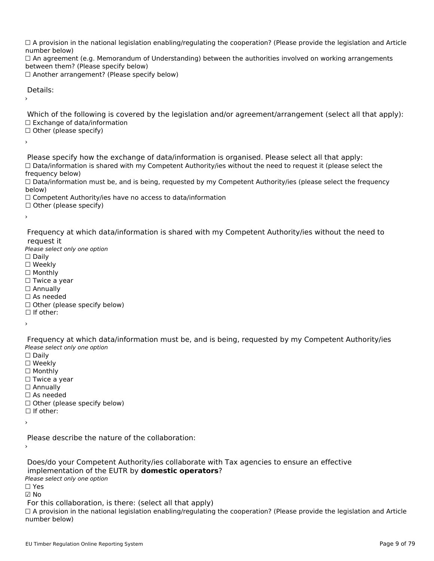$\Box$  A provision in the national legislation enabling/regulating the cooperation? (Please provide the legislation and Article number below) ☐ An agreement (e.g. Memorandum of Understanding) between the authorities involved on working arrangements between them? (Please specify below)  $\Box$  Another arrangement? (Please specify below) Details: › Which of the following is covered by the legislation and/or agreement/arrangement (select all that apply): ☐ Exchange of data/information ☐ Other (please specify) › Please specify how the exchange of data/information is organised. Please select all that apply: □ Data/information is shared with my Competent Authority/ies without the need to request it (please select the frequency below) ☐ Data/information must be, and is being, requested by my Competent Authority/ies (please select the frequency below) ☐ Competent Authority/ies have no access to data/information  $\Box$  Other (please specify) › Frequency at which data/information is shared with my Competent Authority/ies without the need to request it *Please select only one option* ☐ Daily ☐ Weekly ☐ Monthly □ Twice a year □ Annually □ As needed  $\Box$  Other (please specify below) ☐ If other: › Frequency at which data/information must be, and is being, requested by my Competent Authority/ies *Please select only one option* ☐ Daily ☐ Weekly ☐ Monthly □ Twice a year □ Annually □ As needed  $\Box$  Other (please specify below)  $\Box$  If other: › Please describe the nature of the collaboration: › Does/do your Competent Authority/ies collaborate with Tax agencies to ensure an effective implementation of the EUTR by **domestic operators**? *Please select only one option* ☐ Yes ☑ No For this collaboration, is there: (select all that apply)  $\Box$  A provision in the national legislation enabling/regulating the cooperation? (Please provide the legislation and Article

number below)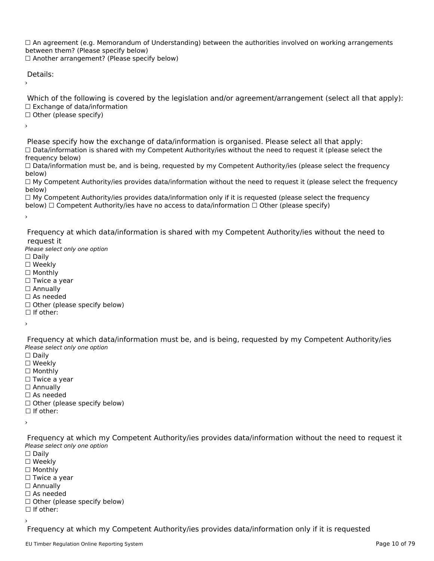$\Box$  An agreement (e.g. Memorandum of Understanding) between the authorities involved on working arrangements between them? (Please specify below) ☐ Another arrangement? (Please specify below)

Details:

›

Which of the following is covered by the legislation and/or agreement/arrangement (select all that apply): □ Exchange of data/information

 $\Box$  Other (please specify)

›

Please specify how the exchange of data/information is organised. Please select all that apply: ☐ Data/information is shared with my Competent Authority/ies without the need to request it (please select the frequency below)

☐ Data/information must be, and is being, requested by my Competent Authority/ies (please select the frequency below)

 $\Box$  My Competent Authority/ies provides data/information without the need to request it (please select the frequency below)

☐ My Competent Authority/ies provides data/information only if it is requested (please select the frequency below)  $\Box$  Competent Authority/ies have no access to data/information  $\Box$  Other (please specify)

›

Frequency at which data/information is shared with my Competent Authority/ies without the need to request it

*Please select only one option* ☐ Daily ☐ Weekly ☐ Monthly □ Twice a year □ Annually □ As needed  $\Box$  Other (please specify below) ☐ If other:

›

Frequency at which data/information must be, and is being, requested by my Competent Authority/ies *Please select only one option*

☐ Daily

☐ Weekly

☐ Monthly

□ Twice a year

□ Annually

□ As needed

 $\Box$  Other (please specify below)

 $\Box$  If other:

›

Frequency at which my Competent Authority/ies provides data/information without the need to request it *Please select only one option*

☐ Daily

☐ Weekly

☐ Monthly

□ Twice a year

□ Annually □ As needed

☐ Other (please specify below)

☐ If other:

›

Frequency at which my Competent Authority/ies provides data/information only if it is requested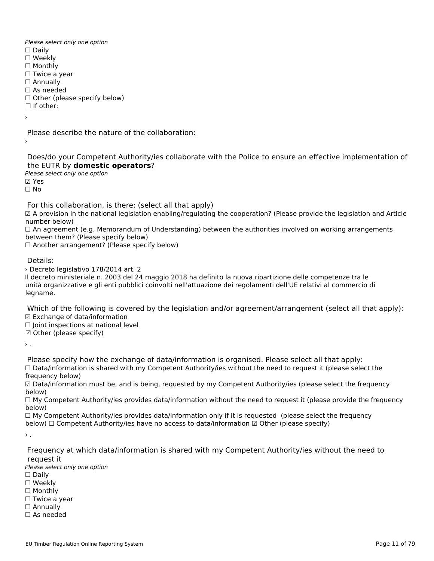*Please select only one option* ☐ Daily ☐ Weekly ☐ Monthly □ Twice a year □ Annually □ As needed  $\Box$  Other (please specify below) ☐ If other:

›

Please describe the nature of the collaboration:

›

Does/do your Competent Authority/ies collaborate with the Police to ensure an effective implementation of the EUTR by **domestic operators**?

*Please select only one option* ☑ Yes ☐ No

For this collaboration, is there: (select all that apply)

☑ A provision in the national legislation enabling/regulating the cooperation? (Please provide the legislation and Article number below)

☐ An agreement (e.g. Memorandum of Understanding) between the authorities involved on working arrangements between them? (Please specify below)

☐ Another arrangement? (Please specify below)

Details:

› Decreto legislativo 178/2014 art. 2

Il decreto ministeriale n. 2003 del 24 maggio 2018 ha definito la nuova ripartizione delle competenze tra le unità organizzative e gli enti pubblici coinvolti nell'attuazione dei regolamenti dell'UE relativi al commercio di legname.

Which of the following is covered by the legislation and/or agreement/arrangement (select all that apply): ☑ Exchange of data/information ☐ Joint inspections at national level

☑ Other (please specify)

 $\rightarrow$  .

Please specify how the exchange of data/information is organised. Please select all that apply: □ Data/information is shared with my Competent Authority/ies without the need to request it (please select the frequency below)

☑ Data/information must be, and is being, requested by my Competent Authority/ies (please select the frequency below)

 $\Box$  My Competent Authority/ies provides data/information without the need to request it (please provide the frequency below)

☐ My Competent Authority/ies provides data/information only if it is requested (please select the frequency below)  $□$  Competent Authority/ies have no access to data/information  $□$  Other (please specify)

 $\rightarrow$  .

Frequency at which data/information is shared with my Competent Authority/ies without the need to request it *Please select only one option* ☐ Daily ☐ Weekly ☐ Monthly

□ Twice a year

☐ Annually

□ As needed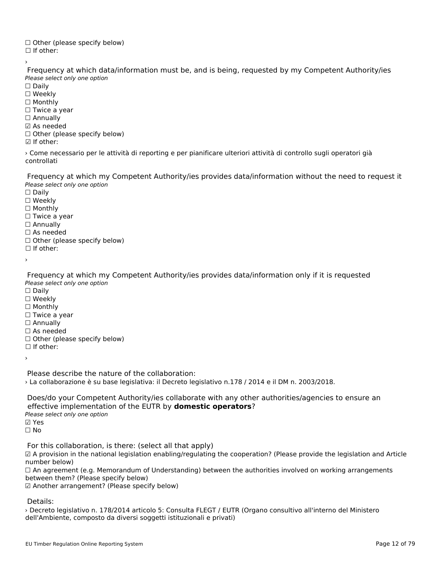$\Box$  Other (please specify below) ☐ If other:

›

Frequency at which data/information must be, and is being, requested by my Competent Authority/ies *Please select only one option*

☐ Daily

☐ Weekly

☐ Monthly

☐ Twice a year

□ Annually

☑ As needed

 $\Box$  Other (please specify below)

☑ If other:

› Come necessario per le attività di reporting e per pianificare ulteriori attività di controllo sugli operatori già controllati

Frequency at which my Competent Authority/ies provides data/information without the need to request it *Please select only one option*

☐ Daily

☐ Weekly

☐ Monthly

☐ Twice a year

□ Annually

□ As needed

 $\Box$  Other (please specify below)

☐ If other:

›

Frequency at which my Competent Authority/ies provides data/information only if it is requested *Please select only one option* ☐ Daily

☐ Weekly ☐ Monthly □ Twice a year ☐ Annually □ As needed ☐ Other (please specify below) ☐ If other:

›

Please describe the nature of the collaboration:

› La collaborazione è su base legislativa: il Decreto legislativo n.178 / 2014 e il DM n. 2003/2018.

Does/do your Competent Authority/ies collaborate with any other authorities/agencies to ensure an effective implementation of the EUTR by **domestic operators**? *Please select only one option* ☑ Yes ☐ No

For this collaboration, is there: (select all that apply)

☑ A provision in the national legislation enabling/regulating the cooperation? (Please provide the legislation and Article number below)

 $\Box$  An agreement (e.g. Memorandum of Understanding) between the authorities involved on working arrangements between them? (Please specify below)

☑ Another arrangement? (Please specify below)

Details:

› Decreto legislativo n. 178/2014 articolo 5: Consulta FLEGT / EUTR (Organo consultivo all'interno del Ministero dell'Ambiente, composto da diversi soggetti istituzionali e privati)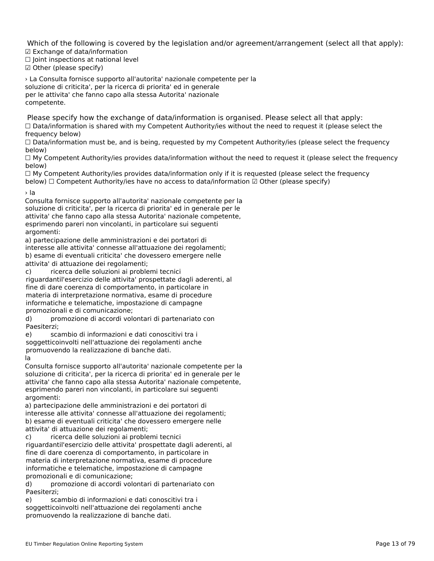Which of the following is covered by the legislation and/or agreement/arrangement (select all that apply): ☑ Exchange of data/information

 $\Box$  Joint inspections at national level

☑ Other (please specify)

› La Consulta fornisce supporto all'autorita' nazionale competente per la soluzione di criticita', per la ricerca di priorita' ed in generale per le attivita' che fanno capo alla stessa Autorita' nazionale competente.

Please specify how the exchange of data/information is organised. Please select all that apply: □ Data/information is shared with my Competent Authority/ies without the need to request it (please select the frequency below)

☐ Data/information must be, and is being, requested by my Competent Authority/ies (please select the frequency below)

 $\Box$  My Competent Authority/ies provides data/information without the need to request it (please select the frequency below)

☐ My Competent Authority/ies provides data/information only if it is requested (please select the frequency below)  $□$  Competent Authority/ies have no access to data/information  $□$  Other (please specify)

#### › la

Consulta fornisce supporto all'autorita' nazionale competente per la soluzione di criticita', per la ricerca di priorita' ed in generale per le attivita' che fanno capo alla stessa Autorita' nazionale competente, esprimendo pareri non vincolanti, in particolare sui seguenti argomenti:

a) partecipazione delle amministrazioni e dei portatori di interesse alle attivita' connesse all'attuazione dei regolamenti; b) esame di eventuali criticita' che dovessero emergere nelle attivita' di attuazione dei regolamenti;

c) ricerca delle soluzioni ai problemi tecnici riguardantil'esercizio delle attivita' prospettate dagli aderenti, al fine di dare coerenza di comportamento, in particolare in materia di interpretazione normativa, esame di procedure informatiche e telematiche, impostazione di campagne promozionali e di comunicazione;

d) promozione di accordi volontari di partenariato con Paesiterzi;

e) scambio di informazioni e dati conoscitivi tra i soggetticoinvolti nell'attuazione dei regolamenti anche promuovendo la realizzazione di banche dati.

la

Consulta fornisce supporto all'autorita' nazionale competente per la soluzione di criticita', per la ricerca di priorita' ed in generale per le attivita' che fanno capo alla stessa Autorita' nazionale competente, esprimendo pareri non vincolanti, in particolare sui seguenti argomenti:

a) partecipazione delle amministrazioni e dei portatori di interesse alle attivita' connesse all'attuazione dei regolamenti; b) esame di eventuali criticita' che dovessero emergere nelle attivita' di attuazione dei regolamenti;

c) ricerca delle soluzioni ai problemi tecnici riguardantil'esercizio delle attivita' prospettate dagli aderenti, al fine di dare coerenza di comportamento, in particolare in materia di interpretazione normativa, esame di procedure informatiche e telematiche, impostazione di campagne promozionali e di comunicazione;

d) promozione di accordi volontari di partenariato con Paesiterzi;

e) scambio di informazioni e dati conoscitivi tra i soggetticoinvolti nell'attuazione dei regolamenti anche promuovendo la realizzazione di banche dati.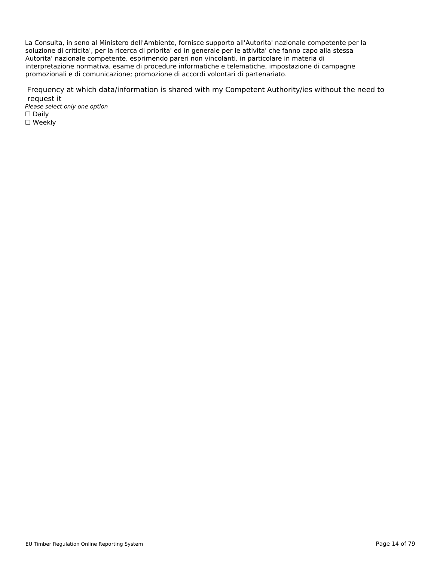La Consulta, in seno al Ministero dell'Ambiente, fornisce supporto all'Autorita' nazionale competente per la soluzione di criticita', per la ricerca di priorita' ed in generale per le attivita' che fanno capo alla stessa Autorita' nazionale competente, esprimendo pareri non vincolanti, in particolare in materia di interpretazione normativa, esame di procedure informatiche e telematiche, impostazione di campagne promozionali e di comunicazione; promozione di accordi volontari di partenariato.

Frequency at which data/information is shared with my Competent Authority/ies without the need to request it *Please select only one option* ☐ Daily ☐ Weekly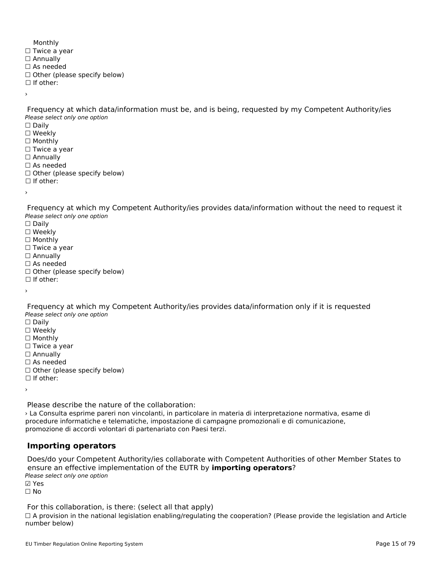Monthly □ Twice a year □ Annually □ As needed  $\Box$  Other (please specify below) ☐ If other:

›

Frequency at which data/information must be, and is being, requested by my Competent Authority/ies *Please select only one option* ☐ Daily ☐ Weekly ☐ Monthly □ Twice a year □ Annually □ As needed  $\Box$  Other (please specify below) ☐ If other:

›

Frequency at which my Competent Authority/ies provides data/information without the need to request it *Please select only one option*

☐ Daily ☐ Weekly ☐ Monthly

□ Twice a year

□ Annually

□ As needed

 $\Box$  Other (please specify below)

☐ If other:

›

Frequency at which my Competent Authority/ies provides data/information only if it is requested *Please select only one option* ☐ Daily

☐ Weekly ☐ Monthly □ Twice a year

☐ Annually

☐ As needed

 $\Box$  Other (please specify below) ☐ If other:

›

Please describe the nature of the collaboration:

› La Consulta esprime pareri non vincolanti, in particolare in materia di interpretazione normativa, esame di procedure informatiche e telematiche, impostazione di campagne promozionali e di comunicazione, promozione di accordi volontari di partenariato con Paesi terzi.

## **Importing operators**

Does/do your Competent Authority/ies collaborate with Competent Authorities of other Member States to ensure an effective implementation of the EUTR by **importing operators**? *Please select only one option* ☑ Yes ☐ No

For this collaboration, is there: (select all that apply)

 $\Box$  A provision in the national legislation enabling/regulating the cooperation? (Please provide the legislation and Article number below)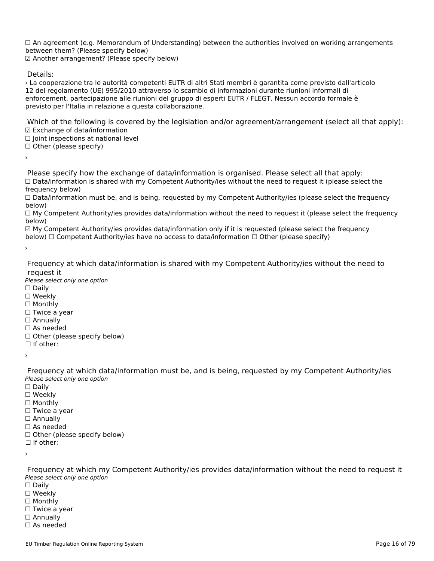$\Box$  An agreement (e.g. Memorandum of Understanding) between the authorities involved on working arrangements between them? (Please specify below) ☑ Another arrangement? (Please specify below)

Details:

› La cooperazione tra le autorità competenti EUTR di altri Stati membri è garantita come previsto dall'articolo 12 del regolamento (UE) 995/2010 attraverso lo scambio di informazioni durante riunioni informali di enforcement, partecipazione alle riunioni del gruppo di esperti EUTR / FLEGT. Nessun accordo formale è previsto per l'Italia in relazione a questa collaborazione.

Which of the following is covered by the legislation and/or agreement/arrangement (select all that apply): ☑ Exchange of data/information

 $\Box$  loint inspections at national level

 $\Box$  Other (please specify)

›

Please specify how the exchange of data/information is organised. Please select all that apply: ☐ Data/information is shared with my Competent Authority/ies without the need to request it (please select the frequency below)

☐ Data/information must be, and is being, requested by my Competent Authority/ies (please select the frequency below)

 $\Box$  My Competent Authority/ies provides data/information without the need to request it (please select the frequency below)

☑ My Competent Authority/ies provides data/information only if it is requested (please select the frequency below)  $\Box$  Competent Authority/ies have no access to data/information  $\Box$  Other (please specify)

›

Frequency at which data/information is shared with my Competent Authority/ies without the need to request it *Please select only one option*

☐ Daily ☐ Weekly ☐ Monthly □ Twice a year ☐ Annually □ As needed  $\Box$  Other (please specify below)

☐ If other:

›

Frequency at which data/information must be, and is being, requested by my Competent Authority/ies *Please select only one option*

☐ Daily ☐ Weekly ☐ Monthly □ Twice a year □ Annually □ As needed  $\Box$  Other (please specify below) ☐ If other:

›

□ As needed

Frequency at which my Competent Authority/ies provides data/information without the need to request it *Please select only one option* ☐ Daily ☐ Weekly ☐ Monthly □ Twice a year □ Annually

EU Timber Regulation Online Reporting System Page 16 of 79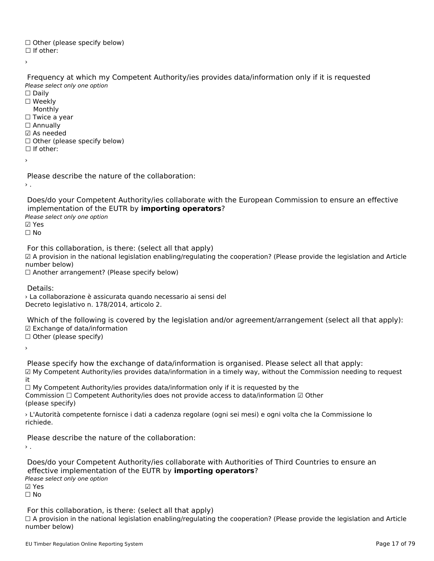$\Box$  Other (please specify below) ☐ If other:

›

Frequency at which my Competent Authority/ies provides data/information only if it is requested *Please select only one option*

☐ Daily

☐ Weekly

Monthly

□ Twice a year

□ Annually

☑ As needed

 $\Box$  Other (please specify below)

☐ If other:

›

Please describe the nature of the collaboration:

 $\rightarrow$  .

Does/do your Competent Authority/ies collaborate with the European Commission to ensure an effective implementation of the EUTR by **importing operators**? *Please select only one option* ☑ Yes ☐ No

For this collaboration, is there: (select all that apply)

☑ A provision in the national legislation enabling/regulating the cooperation? (Please provide the legislation and Article number below)

☐ Another arrangement? (Please specify below)

Details:

› La collaborazione è assicurata quando necessario ai sensi del Decreto legislativo n. 178/2014, articolo 2.

Which of the following is covered by the legislation and/or agreement/arrangement (select all that apply): ☑ Exchange of data/information  $\Box$  Other (please specify)

›

Please specify how the exchange of data/information is organised. Please select all that apply: ☑ My Competent Authority/ies provides data/information in a timely way, without the Commission needing to request it

 $\Box$  My Competent Authority/ies provides data/information only if it is requested by the Commission □ Competent Authority/ies does not provide access to data/information □ Other (please specify)

› L'Autorità competente fornisce i dati a cadenza regolare (ogni sei mesi) e ogni volta che la Commissione lo richiede.

Please describe the nature of the collaboration:

 $\mathcal{P}$ .

Does/do your Competent Authority/ies collaborate with Authorities of Third Countries to ensure an effective implementation of the EUTR by **importing operators**? *Please select only one option* ☑ Yes ☐ No

For this collaboration, is there: (select all that apply)

 $\Box$  A provision in the national legislation enabling/regulating the cooperation? (Please provide the legislation and Article number below)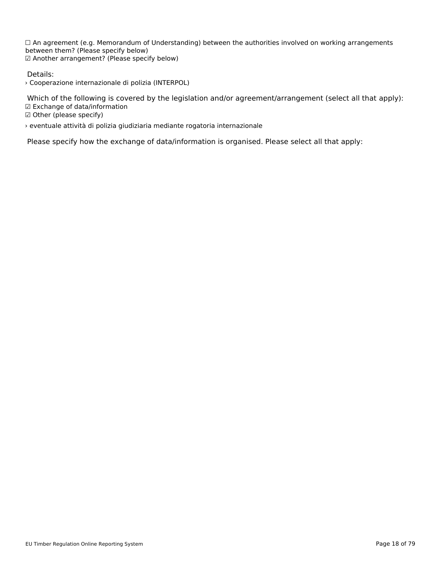☐ An agreement (e.g. Memorandum of Understanding) between the authorities involved on working arrangements between them? (Please specify below) ☑ Another arrangement? (Please specify below)

### Details:

› Cooperazione internazionale di polizia (INTERPOL)

Which of the following is covered by the legislation and/or agreement/arrangement (select all that apply): ☑ Exchange of data/information

☑ Other (please specify)

› eventuale attività di polizia giudiziaria mediante rogatoria internazionale

Please specify how the exchange of data/information is organised. Please select all that apply: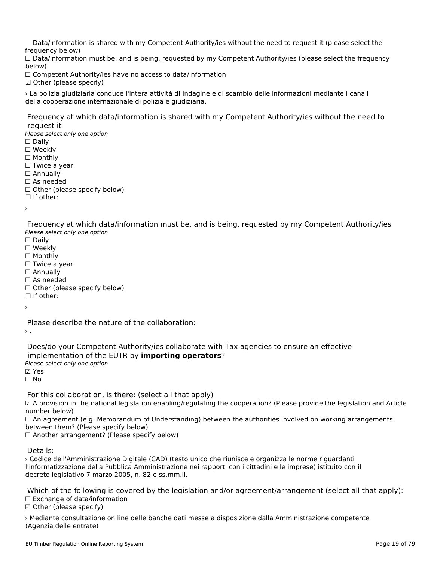Data/information is shared with my Competent Authority/ies without the need to request it (please select the frequency below)

☐ Data/information must be, and is being, requested by my Competent Authority/ies (please select the frequency below)

□ Competent Authority/ies have no access to data/information

☑ Other (please specify)

› La polizia giudiziaria conduce l'intera attività di indagine e di scambio delle informazioni mediante i canali della cooperazione internazionale di polizia e giudiziaria.

Frequency at which data/information is shared with my Competent Authority/ies without the need to request it

*Please select only one option*

☐ Daily

- ☐ Weekly
- ☐ Monthly
- □ Twice a year
- □ Annually
- □ As needed
- $\Box$  Other (please specify below)

☐ If other:

›

Frequency at which data/information must be, and is being, requested by my Competent Authority/ies *Please select only one option*

☐ Daily

☐ Weekly

- ☐ Monthly
- □ Twice a year
- □ Annually
- □ As needed
- $\Box$  Other (please specify below)

□ If other:

›

Please describe the nature of the collaboration:

 $\mathcal{P}$ .

Does/do your Competent Authority/ies collaborate with Tax agencies to ensure an effective implementation of the EUTR by **importing operators**? *Please select only one option* ☑ Yes ☐ No

For this collaboration, is there: (select all that apply)

☑ A provision in the national legislation enabling/regulating the cooperation? (Please provide the legislation and Article number below)

 $\Box$  An agreement (e.g. Memorandum of Understanding) between the authorities involved on working arrangements between them? (Please specify below)

☐ Another arrangement? (Please specify below)

Details:

› Codice dell'Amministrazione Digitale (CAD) (testo unico che riunisce e organizza le norme riguardanti l'informatizzazione della Pubblica Amministrazione nei rapporti con i cittadini e le imprese) istituito con il decreto legislativo 7 marzo 2005, n. 82 e ss.mm.ii.

Which of the following is covered by the legislation and/or agreement/arrangement (select all that apply): ☐ Exchange of data/information

☑ Other (please specify)

› Mediante consultazione on line delle banche dati messe a disposizione dalla Amministrazione competente (Agenzia delle entrate)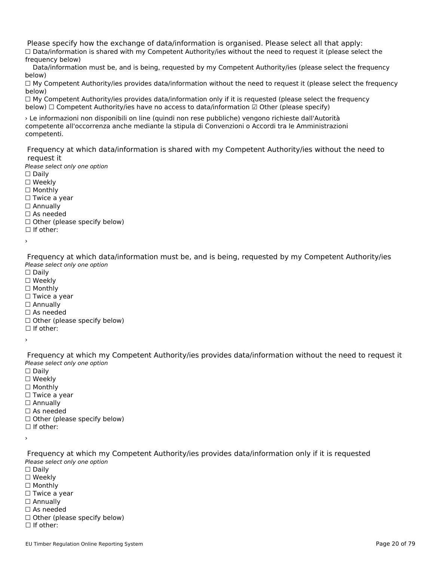Please specify how the exchange of data/information is organised. Please select all that apply: □ Data/information is shared with my Competent Authority/ies without the need to request it (please select the frequency below)

Data/information must be, and is being, requested by my Competent Authority/ies (please select the frequency below)

 $\Box$  My Competent Authority/ies provides data/information without the need to request it (please select the frequency below)

☐ My Competent Authority/ies provides data/information only if it is requested (please select the frequency below)  $□$  Competent Authority/ies have no access to data/information  $□$  Other (please specify)

› Le informazioni non disponibili on line (quindi non rese pubbliche) vengono richieste dall'Autorità competente all'occorrenza anche mediante la stipula di Convenzioni o Accordi tra le Amministrazioni competenti.

Frequency at which data/information is shared with my Competent Authority/ies without the need to request it

*Please select only one option* ☐ Daily ☐ Weekly ☐ Monthly □ Twice a year □ Annually ☐ As needed ☐ Other (please specify below) ☐ If other:

›

Frequency at which data/information must be, and is being, requested by my Competent Authority/ies *Please select only one option*

☐ Daily

☐ Weekly

☐ Monthly

□ Twice a year

□ Annually

□ As needed

☐ Other (please specify below) ☐ If other:

›

Frequency at which my Competent Authority/ies provides data/information without the need to request it *Please select only one option* ☐ Daily ☐ Weekly ☐ Monthly □ Twice a year □ Annually □ As needed

 $\Box$  Other (please specify below)

 $\Box$  If other:

›

Frequency at which my Competent Authority/ies provides data/information only if it is requested *Please select only one option* ☐ Daily ☐ Weekly ☐ Monthly ☐ Twice a year □ Annually □ As needed  $\Box$  Other (please specify below) ☐ If other: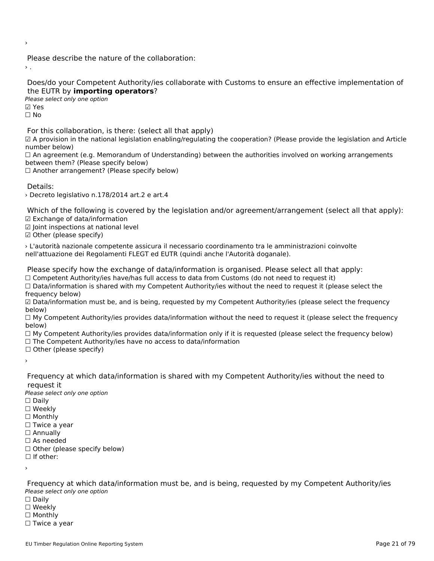Please describe the nature of the collaboration:

 $\rightarrow$  .

›

Does/do your Competent Authority/ies collaborate with Customs to ensure an effective implementation of the EUTR by **importing operators**?

*Please select only one option* ☑ Yes ☐ No

For this collaboration, is there: (select all that apply)

☑ A provision in the national legislation enabling/regulating the cooperation? (Please provide the legislation and Article number below)

 $\Box$  An agreement (e.g. Memorandum of Understanding) between the authorities involved on working arrangements between them? (Please specify below)

☐ Another arrangement? (Please specify below)

Details:

› Decreto legislativo n.178/2014 art.2 e art.4

Which of the following is covered by the legislation and/or agreement/arrangement (select all that apply): ☑ Exchange of data/information

☑ Joint inspections at national level

☑ Other (please specify)

› L'autorità nazionale competente assicura il necessario coordinamento tra le amministrazioni coinvolte nell'attuazione dei Regolamenti FLEGT ed EUTR (quindi anche l'Autorità doganale).

Please specify how the exchange of data/information is organised. Please select all that apply:  $\Box$  Competent Authority/ies have/has full access to data from Customs (do not need to request it)

☐ Data/information is shared with my Competent Authority/ies without the need to request it (please select the frequency below)

☑ Data/information must be, and is being, requested by my Competent Authority/ies (please select the frequency below)

 $\Box$  My Competent Authority/ies provides data/information without the need to request it (please select the frequency below)

 $\Box$  My Competent Authority/ies provides data/information only if it is requested (please select the frequency below) ☐ The Competent Authority/ies have no access to data/information

 $\Box$  Other (please specify)

›

Frequency at which data/information is shared with my Competent Authority/ies without the need to request it

*Please select only one option* ☐ Daily ☐ Weekly ☐ Monthly □ Twice a year □ Annually

□ As needed

 $\Box$  Other (please specify below)

☐ If other:

›

Frequency at which data/information must be, and is being, requested by my Competent Authority/ies *Please select only one option*

☐ Daily

☐ Weekly

☐ Monthly

☐ Twice a year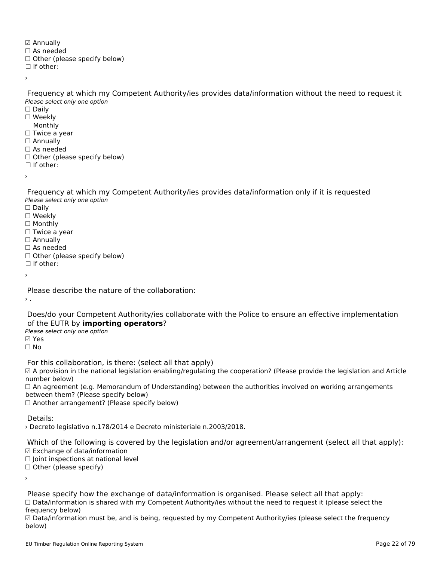☑ Annually □ As needed ☐ Other (please specify below) ☐ If other:

›

Frequency at which my Competent Authority/ies provides data/information without the need to request it *Please select only one option* ☐ Daily ☐ Weekly Monthly □ Twice a year ☐ Annually □ As needed  $\Box$  Other (please specify below) ☐ If other:

›

Frequency at which my Competent Authority/ies provides data/information only if it is requested *Please select only one option* ☐ Daily

☐ Weekly ☐ Monthly □ Twice a year □ Annually □ As needed  $\Box$  Other (please specify below) ☐ If other:

›

Please describe the nature of the collaboration:

 $\mathcal{P}$ .

Does/do your Competent Authority/ies collaborate with the Police to ensure an effective implementation of the EUTR by **importing operators**?

*Please select only one option* ☑ Yes ☐ No

For this collaboration, is there: (select all that apply)

☑ A provision in the national legislation enabling/regulating the cooperation? (Please provide the legislation and Article number below)

 $\Box$  An agreement (e.g. Memorandum of Understanding) between the authorities involved on working arrangements between them? (Please specify below)

 $\Box$  Another arrangement? (Please specify below)

Details:

› Decreto legislativo n.178/2014 e Decreto ministeriale n.2003/2018.

Which of the following is covered by the legislation and/or agreement/arrangement (select all that apply): ☑ Exchange of data/information

☐ Joint inspections at national level

 $\Box$  Other (please specify)

›

Please specify how the exchange of data/information is organised. Please select all that apply: □ Data/information is shared with my Competent Authority/ies without the need to request it (please select the frequency below)

☑ Data/information must be, and is being, requested by my Competent Authority/ies (please select the frequency below)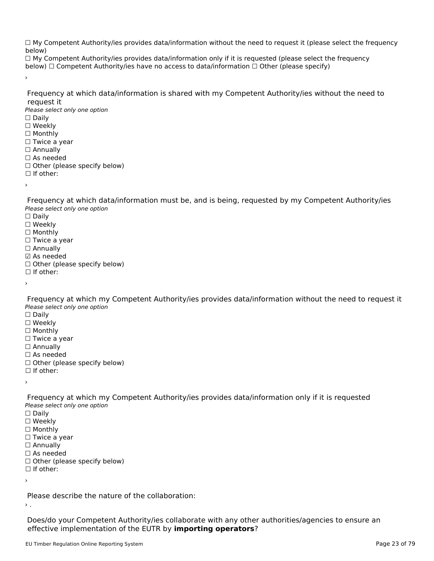☐ My Competent Authority/ies provides data/information without the need to request it (please select the frequency below)

☐ My Competent Authority/ies provides data/information only if it is requested (please select the frequency below)  $\Box$  Competent Authority/ies have no access to data/information  $\Box$  Other (please specify)

›

Frequency at which data/information is shared with my Competent Authority/ies without the need to request it *Please select only one option* ☐ Daily ☐ Weekly ☐ Monthly

- □ Twice a year
- □ Annually
- □ As needed
- $\Box$  Other (please specify below)
- ☐ If other:

›

Frequency at which data/information must be, and is being, requested by my Competent Authority/ies *Please select only one option*

- ☐ Daily
- ☐ Weekly
- ☐ Monthly
- ☐ Twice a year
- □ Annually
- ☑ As needed
- ☐ Other (please specify below)
- ☐ If other:

›

Frequency at which my Competent Authority/ies provides data/information without the need to request it *Please select only one option*

- ☐ Daily
- ☐ Weekly
- ☐ Monthly
- □ Twice a year
- □ Annually
- □ As needed
- $\Box$  Other (please specify below)
- ☐ If other:

```
›
```
Frequency at which my Competent Authority/ies provides data/information only if it is requested *Please select only one option* ☐ Daily ☐ Weekly ☐ Monthly □ Twice a year □ Annually □ As needed

- $\Box$  Other (please specify below)
- ☐ If other:

›

 $\sum$ 

Please describe the nature of the collaboration:

Does/do your Competent Authority/ies collaborate with any other authorities/agencies to ensure an effective implementation of the EUTR by **importing operators**?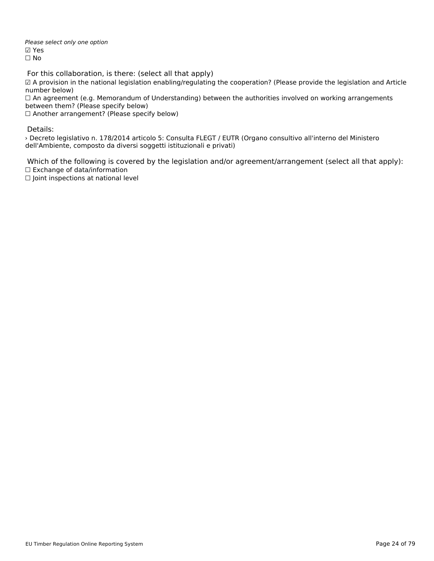*Please select only one option* ☑ Yes ☐ No

For this collaboration, is there: (select all that apply) ☑ A provision in the national legislation enabling/regulating the cooperation? (Please provide the legislation and Article number below) ☐ An agreement (e.g. Memorandum of Understanding) between the authorities involved on working arrangements between them? (Please specify below)

☐ Another arrangement? (Please specify below)

Details:

› Decreto legislativo n. 178/2014 articolo 5: Consulta FLEGT / EUTR (Organo consultivo all'interno del Ministero dell'Ambiente, composto da diversi soggetti istituzionali e privati)

Which of the following is covered by the legislation and/or agreement/arrangement (select all that apply): ☐ Exchange of data/information ☐ Joint inspections at national level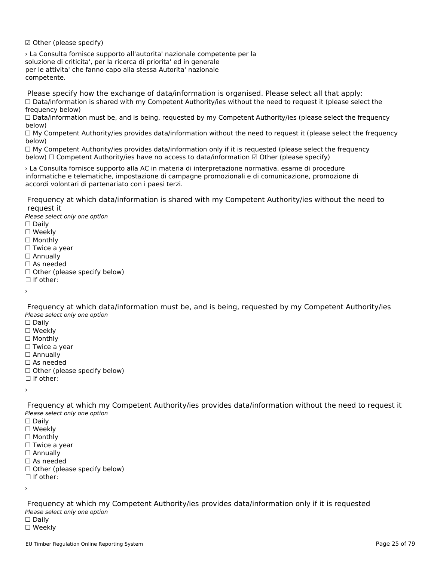☑ Other (please specify)

› La Consulta fornisce supporto all'autorita' nazionale competente per la soluzione di criticita', per la ricerca di priorita' ed in generale per le attivita' che fanno capo alla stessa Autorita' nazionale competente.

Please specify how the exchange of data/information is organised. Please select all that apply: □ Data/information is shared with my Competent Authority/ies without the need to request it (please select the frequency below)

☐ Data/information must be, and is being, requested by my Competent Authority/ies (please select the frequency below)

 $\Box$  My Competent Authority/ies provides data/information without the need to request it (please select the frequency below)

☐ My Competent Authority/ies provides data/information only if it is requested (please select the frequency below) ☐ Competent Authority/ies have no access to data/information ☑ Other (please specify)

› La Consulta fornisce supporto alla AC in materia di interpretazione normativa, esame di procedure informatiche e telematiche, impostazione di campagne promozionali e di comunicazione, promozione di accordi volontari di partenariato con i paesi terzi.

Frequency at which data/information is shared with my Competent Authority/ies without the need to request it

*Please select only one option* ☐ Daily ☐ Weekly ☐ Monthly □ Twice a year ☐ Annually □ As needed ☐ Other (please specify below) ☐ If other:

›

Frequency at which data/information must be, and is being, requested by my Competent Authority/ies *Please select only one option*

□ Daily

- ☐ Weekly
- ☐ Monthly
- □ Twice a year
- □ Annually
- □ As needed
- $\Box$  Other (please specify below) ☐ If other:

›

Frequency at which my Competent Authority/ies provides data/information without the need to request it *Please select only one option*

☐ Daily

- ☐ Weekly
- ☐ Monthly
- □ Twice a year
- □ Annually □ As needed
- 
- $\Box$  Other (please specify below) ☐ If other:

›

Frequency at which my Competent Authority/ies provides data/information only if it is requested *Please select only one option* ☐ Daily

☐ Weekly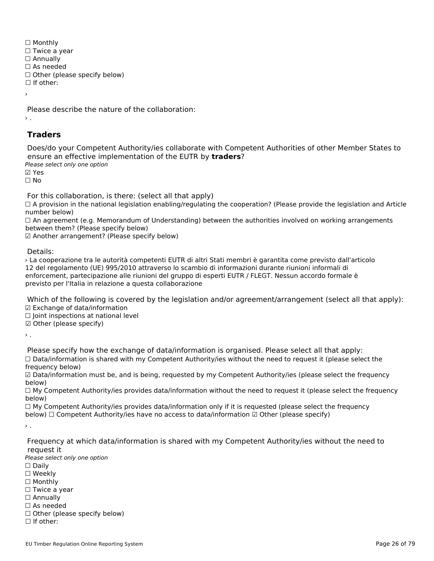| $\Box$ Monthly                      |
|-------------------------------------|
| $\Box$ Twice a year                 |
| $\Box$ Annually                     |
| $\Box$ As needed                    |
| $\Box$ Other (please specify below) |
| $\Box$ If other:                    |

›

Please describe the nature of the collaboration: › .

## **Traders**

Does/do your Competent Authority/ies collaborate with Competent Authorities of other Member States to ensure an effective implementation of the EUTR by **traders**?

*Please select only one option* ☑ Yes

☐ No

For this collaboration, is there: (select all that apply)

 $\Box$  A provision in the national legislation enabling/regulating the cooperation? (Please provide the legislation and Article number below)

 $\Box$  An agreement (e.g. Memorandum of Understanding) between the authorities involved on working arrangements between them? (Please specify below)

☑ Another arrangement? (Please specify below)

Details:

› La cooperazione tra le autorità competenti EUTR di altri Stati membri è garantita come previsto dall'articolo 12 del regolamento (UE) 995/2010 attraverso lo scambio di informazioni durante riunioni informali di enforcement, partecipazione alle riunioni del gruppo di esperti EUTR / FLEGT. Nessun accordo formale è previsto per l'Italia in relazione a questa collaborazione

Which of the following is covered by the legislation and/or agreement/arrangement (select all that apply): ☑ Exchange of data/information

 $\Box$  Joint inspections at national level

☑ Other (please specify)

 $\mathcal{P}$ .

Please specify how the exchange of data/information is organised. Please select all that apply: ☐ Data/information is shared with my Competent Authority/ies without the need to request it (please select the frequency below)

☑ Data/information must be, and is being, requested by my Competent Authority/ies (please select the frequency below)

 $\Box$  My Competent Authority/ies provides data/information without the need to request it (please select the frequency below)

☐ My Competent Authority/ies provides data/information only if it is requested (please select the frequency below) ☐ Competent Authority/ies have no access to data/information ☑ Other (please specify)

 $\mathcal{P}$  .

Frequency at which data/information is shared with my Competent Authority/ies without the need to request it

*Please select only one option* ☐ Daily ☐ Weekly ☐ Monthly □ Twice a year □ Annually □ As needed ☐ Other (please specify below) □ If other: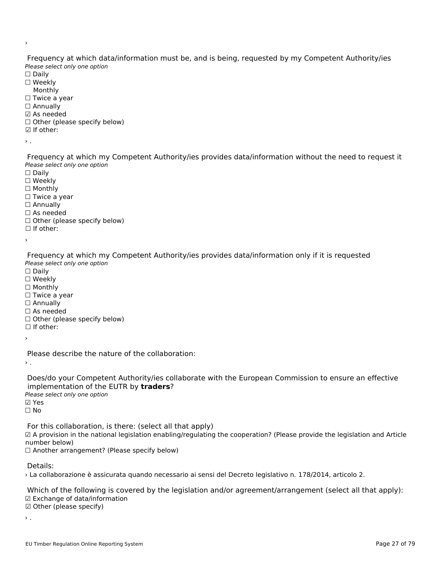Frequency at which data/information must be, and is being, requested by my Competent Authority/ies *Please select only one option* ☐ Daily ☐ Weekly

- Monthly
- □ Twice a year
- ☐ Annually
- ☑ As needed
- ☐ Other (please specify below)
- ☑ If other:

 $\mathbf{v}$ 

›

Frequency at which my Competent Authority/ies provides data/information without the need to request it *Please select only one option*

- ☐ Daily
- ☐ Weekly
- ☐ Monthly
- ☐ Twice a year
- □ Annually
- □ As needed
- $\Box$  Other (please specify below)
- ☐ If other:

›

Frequency at which my Competent Authority/ies provides data/information only if it is requested *Please select only one option*

- ☐ Daily
- ☐ Weekly
- ☐ Monthly
- □ Twice a year
- □ Annually
- □ As needed
- ☐ Other (please specify below) ☐ If other:
- ›

Please describe the nature of the collaboration:

 $\rightarrow$  .

Does/do your Competent Authority/ies collaborate with the European Commission to ensure an effective implementation of the EUTR by **traders**? *Please select only one option* ☑ Yes ☐ No

For this collaboration, is there: (select all that apply) ☑ A provision in the national legislation enabling/regulating the cooperation? (Please provide the legislation and Article

number below) ☐ Another arrangement? (Please specify below)

Details:

› La collaborazione è assicurata quando necessario ai sensi del Decreto legislativo n. 178/2014, articolo 2.

Which of the following is covered by the legislation and/or agreement/arrangement (select all that apply): ☑ Exchange of data/information ☑ Other (please specify)

 $\rightarrow$  .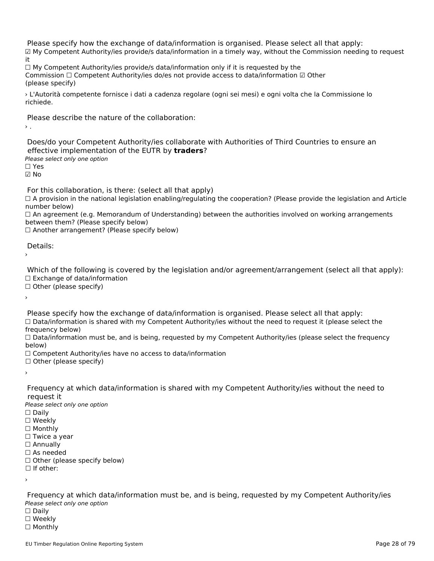Please specify how the exchange of data/information is organised. Please select all that apply: ☑ My Competent Authority/ies provide/s data/information in a timely way, without the Commission needing to request it

 $\Box$  My Competent Authority/ies provide/s data/information only if it is requested by the Commission ☐ Competent Authority/ies do/es not provide access to data/information ☑ Other (please specify)

› L'Autorità competente fornisce i dati a cadenza regolare (ogni sei mesi) e ogni volta che la Commissione lo richiede.

Please describe the nature of the collaboration:

Does/do your Competent Authority/ies collaborate with Authorities of Third Countries to ensure an effective implementation of the EUTR by **traders**? *Please select only one option*

☐ Yes

☑ No

 $\rightarrow$  .

For this collaboration, is there: (select all that apply) □ A provision in the national legislation enabling/regulating the cooperation? (Please provide the legislation and Article number below)  $\Box$  An agreement (e.g. Memorandum of Understanding) between the authorities involved on working arrangements between them? (Please specify below)

☐ Another arrangement? (Please specify below)

Details:

›

Which of the following is covered by the legislation and/or agreement/arrangement (select all that apply):  $\Box$  Exchange of data/information

 $\Box$  Other (please specify)

›

Please specify how the exchange of data/information is organised. Please select all that apply: □ Data/information is shared with my Competent Authority/ies without the need to request it (please select the frequency below)

☐ Data/information must be, and is being, requested by my Competent Authority/ies (please select the frequency below)

□ Competent Authority/ies have no access to data/information

☐ Other (please specify)

›

Frequency at which data/information is shared with my Competent Authority/ies without the need to request it

*Please select only one option* ☐ Daily ☐ Weekly ☐ Monthly □ Twice a year □ Annually □ As needed  $\Box$  Other (please specify below) ☐ If other:

›

Frequency at which data/information must be, and is being, requested by my Competent Authority/ies *Please select only one option*

☐ Daily ☐ Weekly

☐ Monthly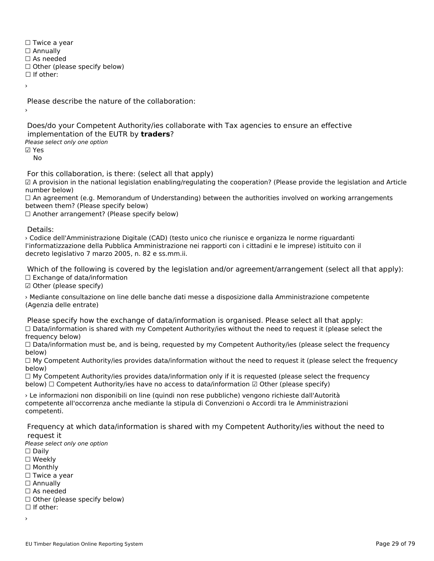| $\Box$ Twice a year                 |
|-------------------------------------|
| $\Box$ Annually                     |
| $\Box$ As needed                    |
| $\Box$ Other (please specify below) |
| $\Box$ If other:                    |

›

Please describe the nature of the collaboration:

›

Does/do your Competent Authority/ies collaborate with Tax agencies to ensure an effective implementation of the EUTR by **traders**?

*Please select only one option*

☑ Yes

No

For this collaboration, is there: (select all that apply)

☑ A provision in the national legislation enabling/regulating the cooperation? (Please provide the legislation and Article number below)

 $\Box$  An agreement (e.g. Memorandum of Understanding) between the authorities involved on working arrangements between them? (Please specify below)

☐ Another arrangement? (Please specify below)

Details:

› Codice dell'Amministrazione Digitale (CAD) (testo unico che riunisce e organizza le norme riguardanti l'informatizzazione della Pubblica Amministrazione nei rapporti con i cittadini e le imprese) istituito con il decreto legislativo 7 marzo 2005, n. 82 e ss.mm.ii.

Which of the following is covered by the legislation and/or agreement/arrangement (select all that apply): □ Exchange of data/information

☑ Other (please specify)

› Mediante consultazione on line delle banche dati messe a disposizione dalla Amministrazione competente (Agenzia delle entrate)

Please specify how the exchange of data/information is organised. Please select all that apply: ☐ Data/information is shared with my Competent Authority/ies without the need to request it (please select the frequency below)

☐ Data/information must be, and is being, requested by my Competent Authority/ies (please select the frequency below)

 $\Box$  My Competent Authority/ies provides data/information without the need to request it (please select the frequency below)

☐ My Competent Authority/ies provides data/information only if it is requested (please select the frequency below)  $□$  Competent Authority/ies have no access to data/information  $□$  Other (please specify)

› Le informazioni non disponibili on line (quindi non rese pubbliche) vengono richieste dall'Autorità competente all'occorrenza anche mediante la stipula di Convenzioni o Accordi tra le Amministrazioni competenti.

Frequency at which data/information is shared with my Competent Authority/ies without the need to request it

*Please select only one option* □ Daily ☐ Weekly ☐ Monthly □ Twice a year □ Annually □ As needed  $\Box$  Other (please specify below) □ If other:

›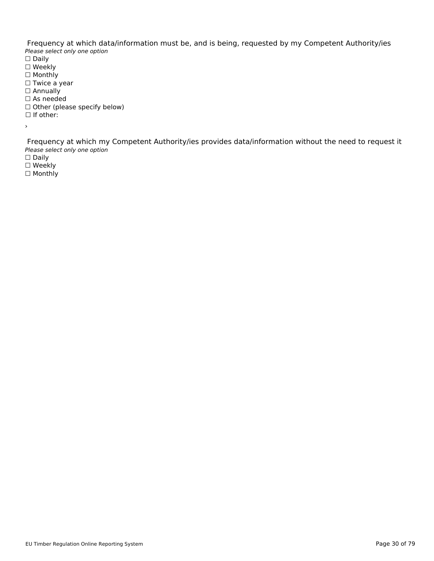Frequency at which data/information must be, and is being, requested by my Competent Authority/ies *Please select only one option*

- ☐ Daily
- ☐ Weekly
- ☐ Monthly
- □ Twice a year
- □ Annually
- □ As needed
- ☐ Other (please specify below)
- ☐ If other:

›

Frequency at which my Competent Authority/ies provides data/information without the need to request it *Please select only one option*

- □ Daily
- ☐ Weekly
- ☐ Monthly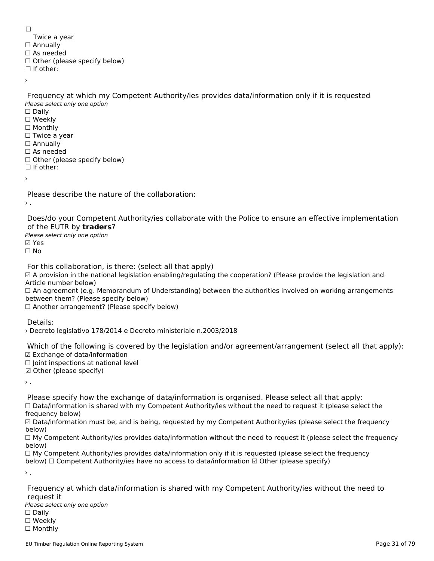| Twice a year                        |
|-------------------------------------|
| $\Box$ Annually                     |
| $\Box$ As needed                    |
| $\Box$ Other (please specify below) |
| $\Box$ If other:                    |

›

Frequency at which my Competent Authority/ies provides data/information only if it is requested *Please select only one option* ☐ Daily ☐ Weekly ☐ Monthly □ Twice a year □ Annually □ As needed ☐ Other (please specify below) ☐ If other:

›

Please describe the nature of the collaboration:

 $\rightarrow$  .

Does/do your Competent Authority/ies collaborate with the Police to ensure an effective implementation of the EUTR by **traders**?

*Please select only one option* ☑ Yes ☐ No

For this collaboration, is there: (select all that apply)

☑ A provision in the national legislation enabling/regulating the cooperation? (Please provide the legislation and Article number below)

☐ An agreement (e.g. Memorandum of Understanding) between the authorities involved on working arrangements between them? (Please specify below)

 $\Box$  Another arrangement? (Please specify below)

Details:

› Decreto legislativo 178/2014 e Decreto ministeriale n.2003/2018

Which of the following is covered by the legislation and/or agreement/arrangement (select all that apply): ☑ Exchange of data/information

☐ Joint inspections at national level

☑ Other (please specify)

 $\rightarrow$  .

Please specify how the exchange of data/information is organised. Please select all that apply: □ Data/information is shared with my Competent Authority/ies without the need to request it (please select the frequency below)

☑ Data/information must be, and is being, requested by my Competent Authority/ies (please select the frequency below)

 $\Box$  My Competent Authority/ies provides data/information without the need to request it (please select the frequency below)

☐ My Competent Authority/ies provides data/information only if it is requested (please select the frequency below)  $□$  Competent Authority/ies have no access to data/information  $□$  Other (please specify)

 $\rightarrow$  .

Frequency at which data/information is shared with my Competent Authority/ies without the need to request it *Please select only one option* ☐ Daily ☐ Weekly ☐ Monthly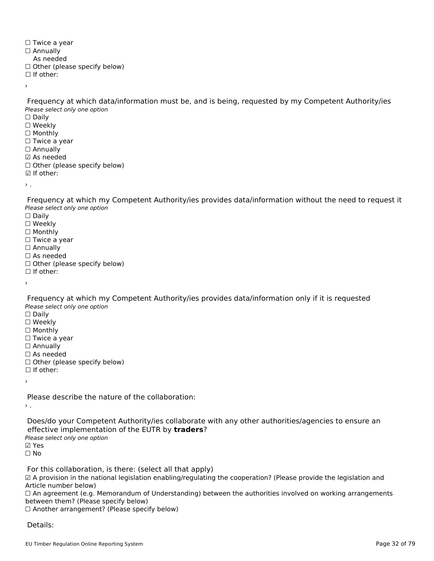□ Twice a year □ Annually As needed ☐ Other (please specify below) ☐ If other:

›

Frequency at which data/information must be, and is being, requested by my Competent Authority/ies *Please select only one option* ☐ Daily ☐ Weekly ☐ Monthly □ Twice a year □ Annually ☑ As needed  $\Box$  Other (please specify below) ☑ If other:  $\rightarrow$  . Frequency at which my Competent Authority/ies provides data/information without the need to request it

*Please select only one option* ☐ Daily ☐ Weekly ☐ Monthly □ Twice a year □ Annually □ As needed  $\Box$  Other (please specify below) ☐ If other:

›

Frequency at which my Competent Authority/ies provides data/information only if it is requested *Please select only one option*

☐ Daily

☐ Weekly

☐ Monthly

□ Twice a year

□ Annually

□ As needed ☐ Other (please specify below)

☐ If other:

›

Please describe the nature of the collaboration:

 $\rightarrow$  .

Does/do your Competent Authority/ies collaborate with any other authorities/agencies to ensure an effective implementation of the EUTR by **traders**? *Please select only one option* ☑ Yes ☐ No

For this collaboration, is there: (select all that apply) ☑ A provision in the national legislation enabling/regulating the cooperation? (Please provide the legislation and Article number below)  $\Box$  An agreement (e.g. Memorandum of Understanding) between the authorities involved on working arrangements between them? (Please specify below) ☐ Another arrangement? (Please specify below)

Details: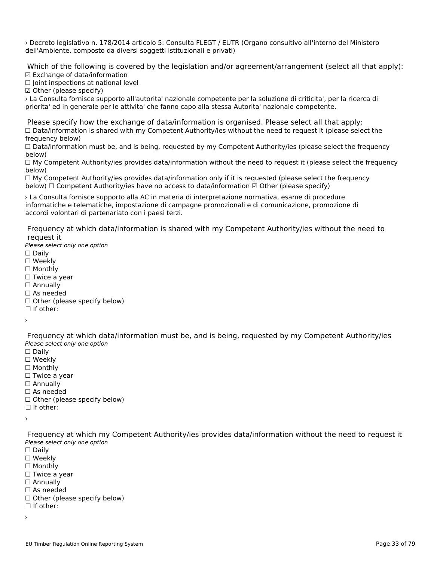› Decreto legislativo n. 178/2014 articolo 5: Consulta FLEGT / EUTR (Organo consultivo all'interno del Ministero dell'Ambiente, composto da diversi soggetti istituzionali e privati)

Which of the following is covered by the legislation and/or agreement/arrangement (select all that apply): ☑ Exchange of data/information

☐ Joint inspections at national level

☑ Other (please specify)

› La Consulta fornisce supporto all'autorita' nazionale competente per la soluzione di criticita', per la ricerca di priorita' ed in generale per le attivita' che fanno capo alla stessa Autorita' nazionale competente.

Please specify how the exchange of data/information is organised. Please select all that apply: □ Data/information is shared with my Competent Authority/ies without the need to request it (please select the frequency below)

☐ Data/information must be, and is being, requested by my Competent Authority/ies (please select the frequency below)

 $\Box$  My Competent Authority/ies provides data/information without the need to request it (please select the frequency below)

☐ My Competent Authority/ies provides data/information only if it is requested (please select the frequency below)  $□$  Competent Authority/ies have no access to data/information  $□$  Other (please specify)

› La Consulta fornisce supporto alla AC in materia di interpretazione normativa, esame di procedure informatiche e telematiche, impostazione di campagne promozionali e di comunicazione, promozione di accordi volontari di partenariato con i paesi terzi.

Frequency at which data/information is shared with my Competent Authority/ies without the need to request it

*Please select only one option* ☐ Daily ☐ Weekly ☐ Monthly □ Twice a year □ Annually □ As needed  $\Box$  Other (please specify below) ☐ If other:

›

Frequency at which data/information must be, and is being, requested by my Competent Authority/ies *Please select only one option*

☐ Daily

☐ Weekly

☐ Monthly

□ Twice a year

□ Annually

☐ As needed

 $\Box$  Other (please specify below)

☐ If other:

›

Frequency at which my Competent Authority/ies provides data/information without the need to request it *Please select only one option*

☐ Daily

☐ Weekly

☐ Monthly

□ Twice a year

□ Annually

□ As needed ☐ Other (please specify below)

☐ If other:

›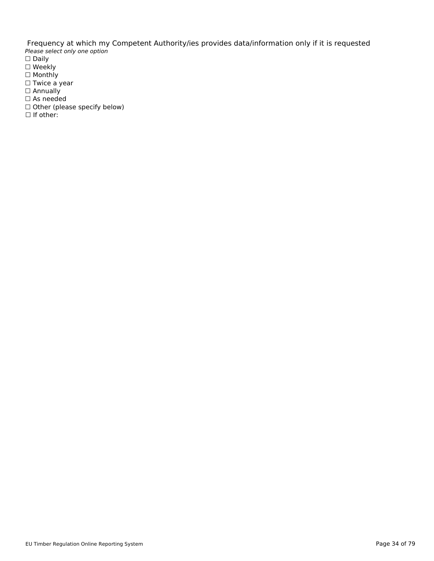Frequency at which my Competent Authority/ies provides data/information only if it is requested *Please select only one option*

- ☐ Daily
- ☐ Weekly
- ☐ Monthly
- □ Twice a year □ Annually
- ☐ As needed
- 
- ☐ Other (please specify below)
- □ If other: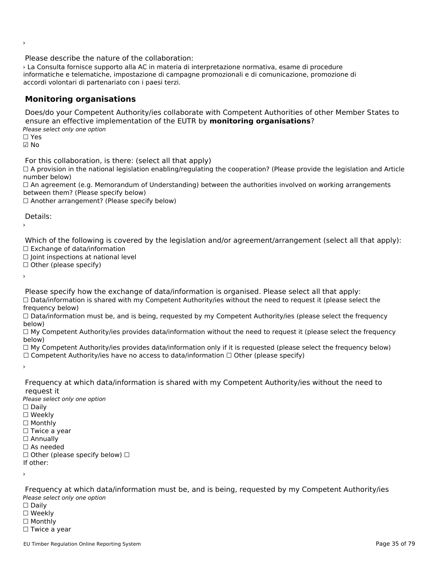Please describe the nature of the collaboration:

› La Consulta fornisce supporto alla AC in materia di interpretazione normativa, esame di procedure informatiche e telematiche, impostazione di campagne promozionali e di comunicazione, promozione di accordi volontari di partenariato con i paesi terzi.

## **Monitoring organisations**

Does/do your Competent Authority/ies collaborate with Competent Authorities of other Member States to ensure an effective implementation of the EUTR by **monitoring organisations**? *Please select only one option* ☐ Yes

☑ No

›

For this collaboration, is there: (select all that apply)

 $\Box$  A provision in the national legislation enabling/regulating the cooperation? (Please provide the legislation and Article number below)

□ An agreement (e.g. Memorandum of Understanding) between the authorities involved on working arrangements between them? (Please specify below)

☐ Another arrangement? (Please specify below)

Details:

›

Which of the following is covered by the legislation and/or agreement/arrangement (select all that apply): □ Exchange of data/information

☐ Joint inspections at national level

□ Other (please specify)

›

Please specify how the exchange of data/information is organised. Please select all that apply: □ Data/information is shared with my Competent Authority/ies without the need to request it (please select the frequency below)

☐ Data/information must be, and is being, requested by my Competent Authority/ies (please select the frequency below)

☐ My Competent Authority/ies provides data/information without the need to request it (please select the frequency below)

☐ My Competent Authority/ies provides data/information only if it is requested (please select the frequency below) ☐ Competent Authority/ies have no access to data/information ☐ Other (please specify)

›

Frequency at which data/information is shared with my Competent Authority/ies without the need to request it

*Please select only one option*

☐ Daily

☐ Weekly

☐ Monthly

□ Twice a year

☐ Annually

□ As needed

☐ Other (please specify below) ☐

If other:

›

Frequency at which data/information must be, and is being, requested by my Competent Authority/ies *Please select only one option*

☐ Daily

☐ Weekly

☐ Monthly

□ Twice a year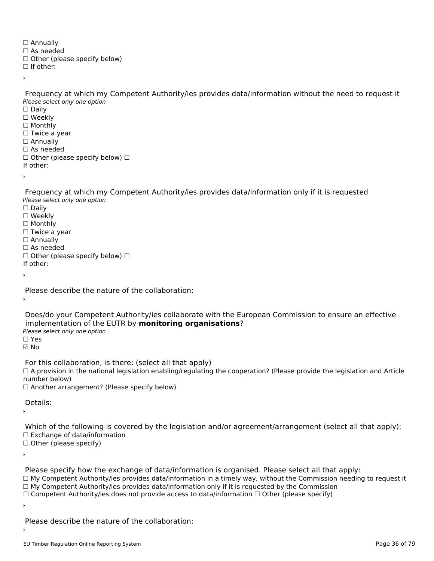☐ Annually □ As needed ☐ Other (please specify below) ☐ If other:

›

Frequency at which my Competent Authority/ies provides data/information without the need to request it *Please select only one option* ☐ Daily ☐ Weekly ☐ Monthly □ Twice a year

- ☐ Annually
- □ As needed
- ☐ Other (please specify below) ☐ If other:

›

Frequency at which my Competent Authority/ies provides data/information only if it is requested *Please select only one option*

☐ Daily ☐ Weekly ☐ Monthly □ Twice a year □ Annually □ As needed ☐ Other (please specify below) ☐ If other:

›

- Please describe the nature of the collaboration:
- ›

Does/do your Competent Authority/ies collaborate with the European Commission to ensure an effective implementation of the EUTR by **monitoring organisations**? *Please select only one option* ☐ Yes ☑ No

For this collaboration, is there: (select all that apply)  $\Box$  A provision in the national legislation enabling/regulating the cooperation? (Please provide the legislation and Article number below)

☐ Another arrangement? (Please specify below)

Details:

›

Which of the following is covered by the legislation and/or agreement/arrangement (select all that apply): ☐ Exchange of data/information □ Other (please specify)

›

Please specify how the exchange of data/information is organised. Please select all that apply: ☐ My Competent Authority/ies provides data/information in a timely way, without the Commission needing to request it  $\Box$  My Competent Authority/ies provides data/information only if it is requested by the Commission ☐ Competent Authority/ies does not provide access to data/information ☐ Other (please specify)

›

›

Please describe the nature of the collaboration: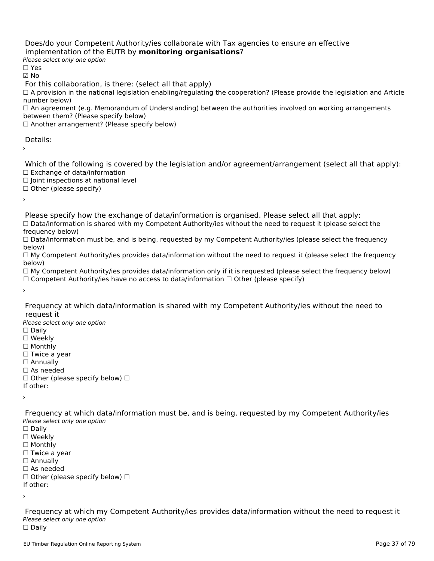#### Does/do your Competent Authority/ies collaborate with Tax agencies to ensure an effective implementation of the EUTR by **monitoring organisations**?

*Please select only one option*

☐ Yes

☑ No

For this collaboration, is there: (select all that apply)

 $\Box$  A provision in the national legislation enabling/regulating the cooperation? (Please provide the legislation and Article number below)

 $\Box$  An agreement (e.g. Memorandum of Understanding) between the authorities involved on working arrangements between them? (Please specify below)

☐ Another arrangement? (Please specify below)

Details:

›

Which of the following is covered by the legislation and/or agreement/arrangement (select all that apply): ☐ Exchange of data/information

☐ Joint inspections at national level

 $\Box$  Other (please specify)

›

Please specify how the exchange of data/information is organised. Please select all that apply: □ Data/information is shared with my Competent Authority/ies without the need to request it (please select the frequency below)

☐ Data/information must be, and is being, requested by my Competent Authority/ies (please select the frequency below)

☐ My Competent Authority/ies provides data/information without the need to request it (please select the frequency below)

 $\Box$  My Competent Authority/ies provides data/information only if it is requested (please select the frequency below) ☐ Competent Authority/ies have no access to data/information ☐ Other (please specify)

›

Frequency at which data/information is shared with my Competent Authority/ies without the need to request it

*Please select only one option*

- ☐ Daily
- ☐ Weekly
- ☐ Monthly
- □ Twice a year
- □ Annually
- □ As needed

☐ Other (please specify below) ☐

If other:

›

Frequency at which data/information must be, and is being, requested by my Competent Authority/ies *Please select only one option*

☐ Daily

- ☐ Weekly
- ☐ Monthly
- □ Twice a year

□ Annually

□ As needed

☐ Other (please specify below) ☐ If other:

›

Frequency at which my Competent Authority/ies provides data/information without the need to request it *Please select only one option* ☐ Daily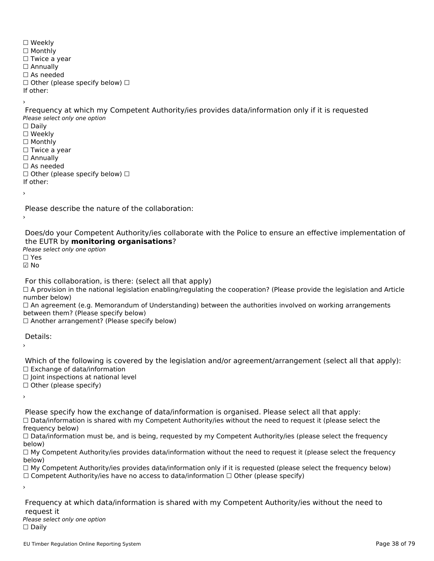☐ Weekly ☐ Monthly □ Twice a year □ Annually □ As needed ☐ Other (please specify below) ☐ If other: ›

Frequency at which my Competent Authority/ies provides data/information only if it is requested *Please select only one option* ☐ Daily

- ☐ Weekly ☐ Monthly
- 
- □ Twice a year
- □ Annually □ As needed
- ☐ Other (please specify below) ☐
- If other:

›

›

Please describe the nature of the collaboration:

Does/do your Competent Authority/ies collaborate with the Police to ensure an effective implementation of the EUTR by **monitoring organisations**?

*Please select only one option* ☐ Yes ☑ No

For this collaboration, is there: (select all that apply)

 $\Box$  A provision in the national legislation enabling/regulating the cooperation? (Please provide the legislation and Article number below)

 $\Box$  An agreement (e.g. Memorandum of Understanding) between the authorities involved on working arrangements between them? (Please specify below)

☐ Another arrangement? (Please specify below)

Details:

›

Which of the following is covered by the legislation and/or agreement/arrangement (select all that apply): ☐ Exchange of data/information

☐ Joint inspections at national level

 $\Box$  Other (please specify)

›

›

Please specify how the exchange of data/information is organised. Please select all that apply: □ Data/information is shared with my Competent Authority/ies without the need to request it (please select the frequency below)

☐ Data/information must be, and is being, requested by my Competent Authority/ies (please select the frequency below)

☐ My Competent Authority/ies provides data/information without the need to request it (please select the frequency below)

☐ My Competent Authority/ies provides data/information only if it is requested (please select the frequency below) ☐ Competent Authority/ies have no access to data/information ☐ Other (please specify)

Frequency at which data/information is shared with my Competent Authority/ies without the need to request it *Please select only one option* ☐ Daily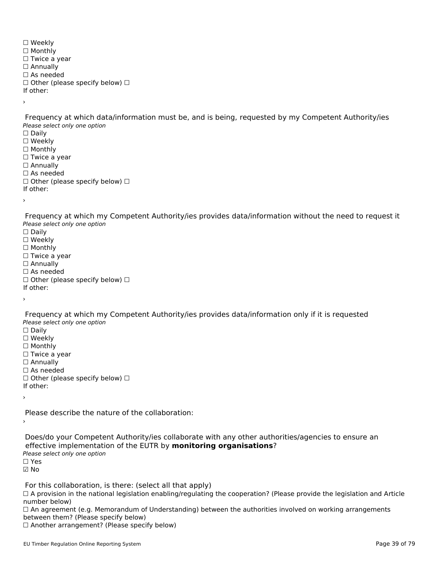☐ Weekly ☐ Monthly □ Twice a year □ Annually □ As needed ☐ Other (please specify below) ☐ If other: ›

Frequency at which data/information must be, and is being, requested by my Competent Authority/ies *Please select only one option* ☐ Daily

- ☐ Weekly
- ☐ Monthly
- ☐ Twice a year
- □ Annually
- □ As needed
- ☐ Other (please specify below) ☐
- If other:

›

Frequency at which my Competent Authority/ies provides data/information without the need to request it *Please select only one option*

- ☐ Daily
- ☐ Weekly
- ☐ Monthly
- □ Twice a year
- □ Annually
- ☐ As needed
- ☐ Other (please specify below) ☐ If other:
- ›

Frequency at which my Competent Authority/ies provides data/information only if it is requested *Please select only one option*

- ☐ Daily
- ☐ Weekly
- ☐ Monthly
- □ Twice a year
- ☐ Annually
- □ As needed
- ☐ Other (please specify below) ☐
- If other:

 $\ddot{\phantom{0}}$ 

Please describe the nature of the collaboration:

›

Does/do your Competent Authority/ies collaborate with any other authorities/agencies to ensure an effective implementation of the EUTR by **monitoring organisations**? *Please select only one option* ☐ Yes

☑ No

For this collaboration, is there: (select all that apply)

 $\Box$  A provision in the national legislation enabling/regulating the cooperation? (Please provide the legislation and Article number below)

 $\Box$  An agreement (e.g. Memorandum of Understanding) between the authorities involved on working arrangements between them? (Please specify below)

☐ Another arrangement? (Please specify below)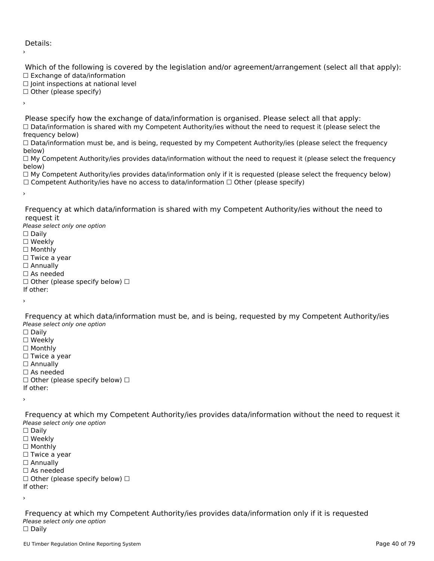#### Details:

›

Which of the following is covered by the legislation and/or agreement/arrangement (select all that apply): ☐ Exchange of data/information

☐ Joint inspections at national level

 $\Box$  Other (please specify)

›

Please specify how the exchange of data/information is organised. Please select all that apply: □ Data/information is shared with my Competent Authority/ies without the need to request it (please select the frequency below)

☐ Data/information must be, and is being, requested by my Competent Authority/ies (please select the frequency below)

 $\Box$  My Competent Authority/ies provides data/information without the need to request it (please select the frequency below)

☐ My Competent Authority/ies provides data/information only if it is requested (please select the frequency below) ☐ Competent Authority/ies have no access to data/information ☐ Other (please specify)

›

Frequency at which data/information is shared with my Competent Authority/ies without the need to request it

*Please select only one option*

☐ Daily

☐ Weekly

☐ Monthly

□ Twice a year

☐ Annually

□ As needed

☐ Other (please specify below) ☐ If other:

›

Frequency at which data/information must be, and is being, requested by my Competent Authority/ies *Please select only one option*

☐ Daily

☐ Weekly

□ Monthly

□ Twice a year

☐ Annually

□ As needed

☐ Other (please specify below) ☐

If other:

›

Frequency at which my Competent Authority/ies provides data/information without the need to request it *Please select only one option*

☐ Daily

☐ Weekly

☐ Monthly

□ Twice a year

□ Annually

□ As needed

☐ Other (please specify below) ☐ If other:

›

Frequency at which my Competent Authority/ies provides data/information only if it is requested *Please select only one option* ☐ Daily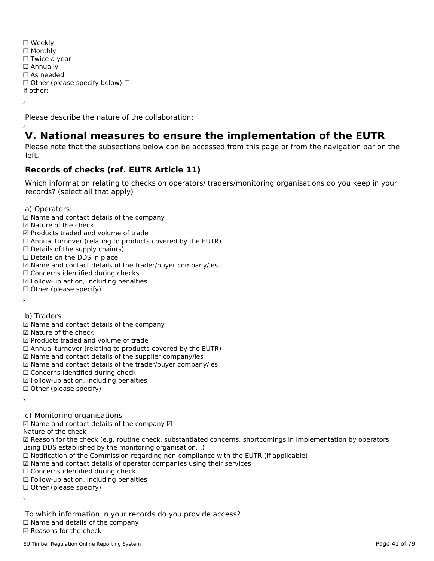☐ Weekly ☐ Monthly □ Twice a year □ Annually □ As needed ☐ Other (please specify below) ☐ If other: ›

Please describe the nature of the collaboration:

# **V. National measures to ensure the implementation of the EUTR**

Please note that the subsections below can be accessed from this page or from the navigation bar on the left.

# **Records of checks (ref. EUTR Article 11)**

Which information relating to checks on operators/ traders/monitoring organisations do you keep in your records? (select all that apply)

a) Operators

- ☑ Name and contact details of the company
- ☑ Nature of the check
- ☑ Products traded and volume of trade
- □ Annual turnover (relating to products covered by the EUTR)
- $\Box$  Details of the supply chain(s)
- □ Details on the DDS in place
- ☑ Name and contact details of the trader/buyer company/ies
- ☐ Concerns identified during checks
- ☑ Follow-up action, including penalties
- $\Box$  Other (please specify)

›

›

- b) Traders
- ☑ Name and contact details of the company
- ☑ Nature of the check
- ☑ Products traded and volume of trade
- $\Box$  Annual turnover (relating to products covered by the EUTR)
- ☑ Name and contact details of the supplier company/ies
- ☑ Name and contact details of the trader/buyer company/ies
- $\Box$  Concerns identified during check
- ☑ Follow-up action, including penalties
- $\Box$  Other (please specify)

›

- c) Monitoring organisations
- ☑ Name and contact details of the company ☑

Nature of the check

☑ Reason for the check (e.g. routine check, substantiated concerns, shortcomings in implementation by operators using DDS established by the monitoring organisation…)

- $\Box$  Notification of the Commission regarding non-compliance with the EUTR (if applicable)
- ☑ Name and contact details of operator companies using their services
- □ Concerns identified during check
- ☐ Follow-up action, including penalties
- □ Other (please specify)

›

To which information in your records do you provide access? ☐ Name and details of the company ☑ Reasons for the check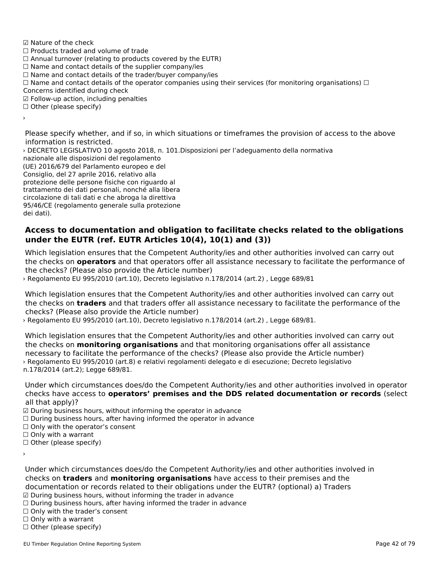☑ Nature of the check

☐ Products traded and volume of trade

□ Annual turnover (relating to products covered by the EUTR)

☐ Name and contact details of the supplier company/ies

 $\Box$  Name and contact details of the trader/buyer company/ies

 $\Box$  Name and contact details of the operator companies using their services (for monitoring organisations)  $\Box$ 

Concerns identified during check

☑ Follow-up action, including penalties

 $\Box$  Other (please specify)

›

Please specify whether, and if so, in which situations or timeframes the provision of access to the above information is restricted.

› DECRETO LEGISLATIVO 10 agosto 2018, n. 101.Disposizioni per l'adeguamento della normativa

nazionale alle disposizioni del regolamento

(UE) 2016/679 del Parlamento europeo e del

Consiglio, del 27 aprile 2016, relativo alla

protezione delle persone fisiche con riguardo al

trattamento dei dati personali, nonché alla libera

circolazione di tali dati e che abroga la direttiva

95/46/CE (regolamento generale sulla protezione dei dati).

# **Access to documentation and obligation to facilitate checks related to the obligations under the EUTR (ref. EUTR Articles 10(4), 10(1) and (3))**

Which legislation ensures that the Competent Authority/ies and other authorities involved can carry out the checks on **operators** and that operators offer all assistance necessary to facilitate the performance of the checks? (Please also provide the Article number)

› Regolamento EU 995/2010 (art.10), Decreto legislativo n.178/2014 (art.2) , Legge 689/81

Which legislation ensures that the Competent Authority/ies and other authorities involved can carry out the checks on **traders** and that traders offer all assistance necessary to facilitate the performance of the checks? (Please also provide the Article number)

› Regolamento EU 995/2010 (art.10), Decreto legislativo n.178/2014 (art.2) , Legge 689/81.

Which legislation ensures that the Competent Authority/ies and other authorities involved can carry out the checks on **monitoring organisations** and that monitoring organisations offer all assistance necessary to facilitate the performance of the checks? (Please also provide the Article number) › Regolamento EU 995/2010 (art.8) e relativi regolamenti delegato e di esecuzione; Decreto legislativo n.178/2014 (art.2); Legge 689/81.

Under which circumstances does/do the Competent Authority/ies and other authorities involved in operator checks have access to **operators' premises and the DDS related documentation or records** (select all that apply)?

☑ During business hours, without informing the operator in advance

 $\Box$  During business hours, after having informed the operator in advance

□ Only with the operator's consent

 $\Box$  Only with a warrant

 $\Box$  Other (please specify)

›

Under which circumstances does/do the Competent Authority/ies and other authorities involved in checks on **traders** and **monitoring organisations** have access to their premises and the documentation or records related to their obligations under the EUTR? (optional) a) Traders ☑ During business hours, without informing the trader in advance

 $\Box$  During business hours, after having informed the trader in advance

□ Only with the trader's consent

□ Only with a warrant

 $\Box$  Other (please specify)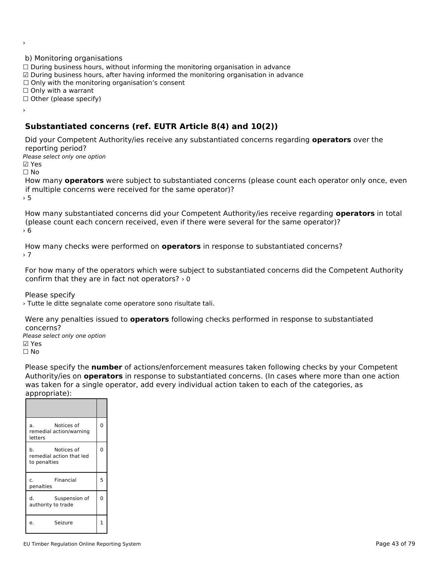b) Monitoring organisations  $\Box$  During business hours, without informing the monitoring organisation in advance ☑ During business hours, after having informed the monitoring organisation in advance  $\Box$  Only with the monitoring organisation's consent □ Only with a warrant ☐ Other (please specify) ›

# **Substantiated concerns (ref. EUTR Article 8(4) and 10(2))**

Did your Competent Authority/ies receive any substantiated concerns regarding **operators** over the reporting period?

*Please select only one option*

☑ Yes

☐ No

›

How many **operators** were subject to substantiated concerns (please count each operator only once, even if multiple concerns were received for the same operator)? › 5

How many substantiated concerns did your Competent Authority/ies receive regarding **operators** in total (please count each concern received, even if there were several for the same operator)? › 6

How many checks were performed on **operators** in response to substantiated concerns? › 7

For how many of the operators which were subject to substantiated concerns did the Competent Authority confirm that they are in fact not operators? › 0

Please specify

› Tutte le ditte segnalate come operatore sono risultate tali.

Were any penalties issued to **operators** following checks performed in response to substantiated concerns? *Please select only one option*

☑ Yes ☐ No

Please specify the **number** of actions/enforcement measures taken following checks by your Competent Authority/ies on **operators** in response to substantiated concerns. (In cases where more than one action was taken for a single operator, add every individual action taken to each of the categories, as appropriate):

| Notices of<br>a.<br>remedial action/warning<br>letters       |  |
|--------------------------------------------------------------|--|
| b.<br>Notices of<br>remedial action that led<br>to penalties |  |
| Financial<br>c.<br>penalties                                 |  |
| d.<br>Suspension of<br>authority to trade                    |  |
| Seizure<br>А.                                                |  |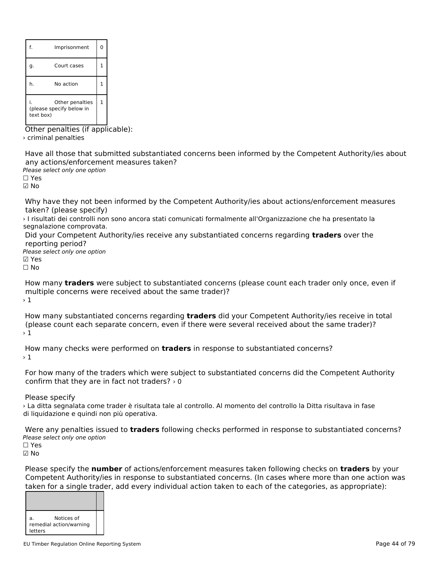| f.                                                       | Imprisonment |  |
|----------------------------------------------------------|--------------|--|
| g.                                                       | Court cases  |  |
| h.                                                       | No action    |  |
| Other penalties<br>(please specify below in<br>text box) |              |  |

Other penalties (if applicable): › criminal penalties

Have all those that submitted substantiated concerns been informed by the Competent Authority/ies about any actions/enforcement measures taken?

*Please select only one option*

☐ Yes

☑ No

Why have they not been informed by the Competent Authority/ies about actions/enforcement measures taken? (please specify)

› I risultati dei controlli non sono ancora stati comunicati formalmente all'Organizzazione che ha presentato la segnalazione comprovata.

Did your Competent Authority/ies receive any substantiated concerns regarding **traders** over the reporting period?

*Please select only one option*

☑ Yes

☐ No

How many **traders** were subject to substantiated concerns (please count each trader only once, even if multiple concerns were received about the same trader)?

› 1

How many substantiated concerns regarding **traders** did your Competent Authority/ies receive in total (please count each separate concern, even if there were several received about the same trader)? › 1

How many checks were performed on **traders** in response to substantiated concerns? › 1

For how many of the traders which were subject to substantiated concerns did the Competent Authority confirm that they are in fact not traders? › 0

Please specify

› La ditta segnalata come trader è risultata tale al controllo. Al momento del controllo la Ditta risultava in fase di liquidazione e quindi non più operativa.

Were any penalties issued to **traders** following checks performed in response to substantiated concerns? *Please select only one option*

☐ Yes

☑ No

Please specify the **number** of actions/enforcement measures taken following checks on **traders** by your Competent Authority/ies in response to substantiated concerns. (In cases where more than one action was taken for a single trader, add every individual action taken to each of the categories, as appropriate):

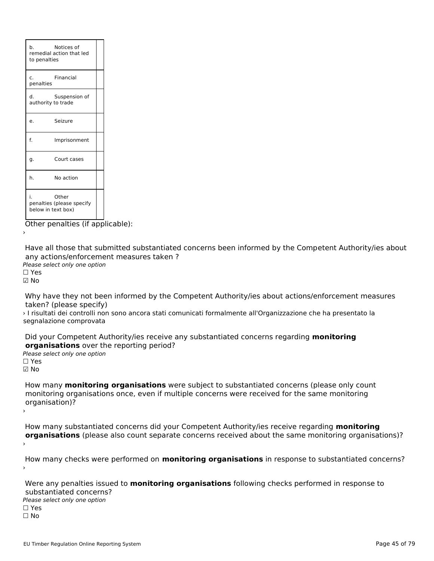| Notices of<br>b.<br>remedial action that led<br>to penalties   |  |
|----------------------------------------------------------------|--|
| Financial<br>c.<br>penalties                                   |  |
| d.<br>Suspension of<br>authority to trade                      |  |
| Seizure<br>e.                                                  |  |
| f.<br>Imprisonment                                             |  |
| Court cases<br>g.                                              |  |
| h.<br>No action                                                |  |
| i.<br>Other<br>penalties (please specify<br>below in text box) |  |

Other penalties (if applicable):

Have all those that submitted substantiated concerns been informed by the Competent Authority/ies about any actions/enforcement measures taken ?

*Please select only one option*

☐ Yes

›

☑ No

›

Why have they not been informed by the Competent Authority/ies about actions/enforcement measures taken? (please specify)

› I risultati dei controlli non sono ancora stati comunicati formalmente all'Organizzazione che ha presentato la segnalazione comprovata

Did your Competent Authority/ies receive any substantiated concerns regarding **monitoring organisations** over the reporting period?

*Please select only one option* ☐ Yes ☑ No

How many **monitoring organisations** were subject to substantiated concerns (please only count monitoring organisations once, even if multiple concerns were received for the same monitoring organisation)?

How many substantiated concerns did your Competent Authority/ies receive regarding **monitoring organisations** (please also count separate concerns received about the same monitoring organisations)? ›

How many checks were performed on **monitoring organisations** in response to substantiated concerns? ›

Were any penalties issued to **monitoring organisations** following checks performed in response to substantiated concerns? *Please select only one option* ☐ Yes ☐ No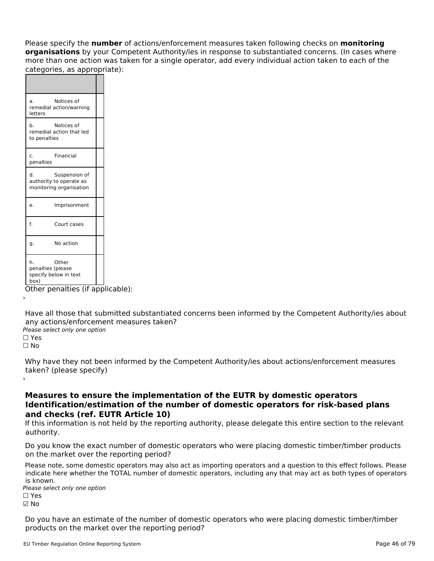Please specify the **number** of actions/enforcement measures taken following checks on **monitoring organisations** by your Competent Authority/ies in response to substantiated concerns. (In cases where more than one action was taken for a single operator, add every individual action taken to each of the categories, as appropriate):

| Notices of<br>a.<br>remedial action/warning<br>letters                    |  |
|---------------------------------------------------------------------------|--|
| Notices of<br>b.<br>remedial action that led<br>to penalties              |  |
| Financial<br>C.<br>penalties                                              |  |
| d.<br>Suspension of<br>authority to operate as<br>monitoring organisation |  |
| Imprisonment<br>e.                                                        |  |
| f.<br>Court cases                                                         |  |
| No action<br>g.                                                           |  |
| h.<br>Other<br>penalties (please<br>specify below in text<br>box)         |  |

Other penalties (if applicable):

Have all those that submitted substantiated concerns been informed by the Competent Authority/ies about any actions/enforcement measures taken?

*Please select only one option* ☐ Yes ☐ No

›

›

Why have they not been informed by the Competent Authority/ies about actions/enforcement measures taken? (please specify)

### **Measures to ensure the implementation of the EUTR by domestic operators Identification/estimation of the number of domestic operators for risk-based plans and checks (ref. EUTR Article 10)**

If this information is not held by the reporting authority, please delegate this entire section to the relevant authority.

Do you know the exact number of domestic operators who were placing domestic timber/timber products on the market over the reporting period?

Please note, some domestic operators may also act as importing operators and a question to this effect follows. Please indicate here whether the TOTAL number of domestic operators, including any that may act as both types of operators is known.

*Please select only one option* ☐ Yes ☑ No

Do you have an estimate of the number of domestic operators who were placing domestic timber/timber products on the market over the reporting period?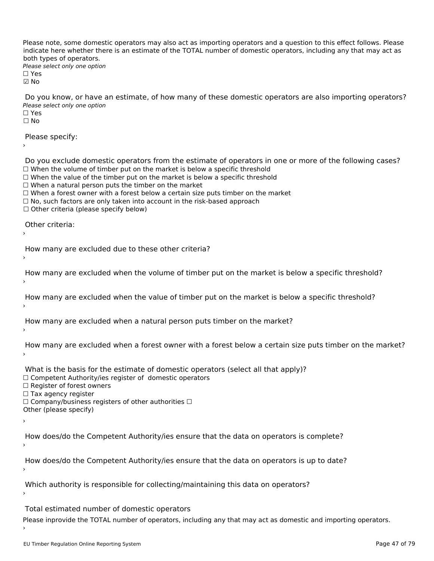Please note, some domestic operators may also act as importing operators and a question to this effect follows. Please indicate here whether there is an estimate of the TOTAL number of domestic operators, including any that may act as both types of operators. *Please select only one option* ☐ Yes ☑ No Do you know, or have an estimate, of how many of these domestic operators are also importing operators? *Please select only one option* ☐ Yes ☐ No Please specify: › Do you exclude domestic operators from the estimate of operators in one or more of the following cases?  $\Box$  When the volume of timber put on the market is below a specific threshold  $\Box$  When the value of the timber put on the market is below a specific threshold  $\Box$  When a natural person puts the timber on the market  $\Box$  When a forest owner with a forest below a certain size puts timber on the market  $\Box$  No, such factors are only taken into account in the risk-based approach  $\Box$  Other criteria (please specify below) Other criteria:  $\ddot{\phantom{0}}$ How many are excluded due to these other criteria? › How many are excluded when the volume of timber put on the market is below a specific threshold? › How many are excluded when the value of timber put on the market is below a specific threshold? › How many are excluded when a natural person puts timber on the market? › How many are excluded when a forest owner with a forest below a certain size puts timber on the market? › What is the basis for the estimate of domestic operators (select all that apply)? ☐ Competent Authority/ies register of domestic operators ☐ Register of forest owners □ Tax agency register ☐ Company/business registers of other authorities ☐ Other (please specify) › How does/do the Competent Authority/ies ensure that the data on operators is complete? › How does/do the Competent Authority/ies ensure that the data on operators is up to date? › Which authority is responsible for collecting/maintaining this data on operators? ›

Total estimated number of domestic operators

Please inprovide the TOTAL number of operators, including any that may act as domestic and importing operators.

›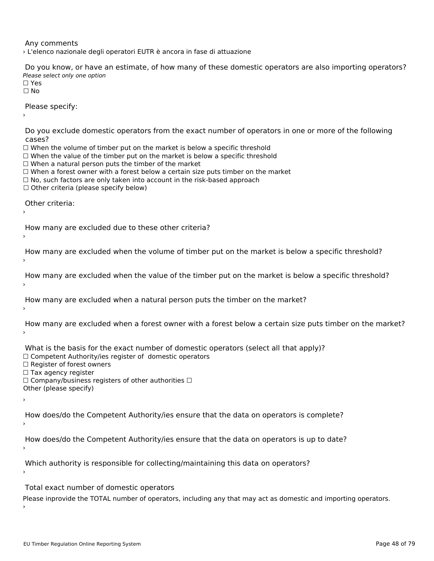Any comments › L'elenco nazionale degli operatori EUTR è ancora in fase di attuazione

Do you know, or have an estimate, of how many of these domestic operators are also importing operators? *Please select only one option*

☐ Yes

☐ No

›

›

›

Please specify:

Do you exclude domestic operators from the exact number of operators in one or more of the following cases?

 $\Box$  When the volume of timber put on the market is below a specific threshold

- □ When the value of the timber put on the market is below a specific threshold
- ☐ When a natural person puts the timber of the market
- $\Box$  When a forest owner with a forest below a certain size puts timber on the market
- □ No, such factors are only taken into account in the risk-based approach
- ☐ Other criteria (please specify below)

Other criteria:

How many are excluded due to these other criteria?

How many are excluded when the volume of timber put on the market is below a specific threshold? ›

How many are excluded when the value of the timber put on the market is below a specific threshold? ›

How many are excluded when a natural person puts the timber on the market?

›

How many are excluded when a forest owner with a forest below a certain size puts timber on the market? ›

What is the basis for the exact number of domestic operators (select all that apply)?

☐ Competent Authority/ies register of domestic operators

☐ Register of forest owners

 $\Box$  Tax agency register

 $\Box$  Company/business registers of other authorities  $\Box$ 

Other (please specify)

›

How does/do the Competent Authority/ies ensure that the data on operators is complete?

How does/do the Competent Authority/ies ensure that the data on operators is up to date?

›

›

›

Which authority is responsible for collecting/maintaining this data on operators?

Total exact number of domestic operators

Please inprovide the TOTAL number of operators, including any that may act as domestic and importing operators. ›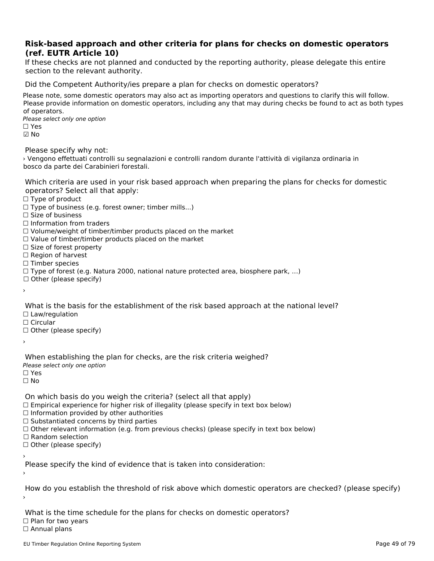### **Risk-based approach and other criteria for plans for checks on domestic operators (ref. EUTR Article 10)**

If these checks are not planned and conducted by the reporting authority, please delegate this entire section to the relevant authority.

Did the Competent Authority/ies prepare a plan for checks on domestic operators?

Please note, some domestic operators may also act as importing operators and questions to clarify this will follow. Please provide information on domestic operators, including any that may during checks be found to act as both types of operators.

*Please select only one option* ☐ Yes ☑ No

Please specify why not:

› Vengono effettuati controlli su segnalazioni e controlli random durante l'attività di vigilanza ordinaria in bosco da parte dei Carabinieri forestali.

Which criteria are used in your risk based approach when preparing the plans for checks for domestic operators? Select all that apply:

□ Type of product

- ☐ Type of business (e.g. forest owner; timber mills...)
- ☐ Size of business

☐ Information from traders

- ☐ Volume/weight of timber/timber products placed on the market
- $\Box$  Value of timber/timber products placed on the market
- ☐ Size of forest property
- ☐ Region of harvest
- ☐ Timber species
- $\Box$  Type of forest (e.g. Natura 2000, national nature protected area, biosphere park, ...)
- $\Box$  Other (please specify)

›

What is the basis for the establishment of the risk based approach at the national level? □ Law/regulation

- ☐ Circular
- ☐ Other (please specify)

›

When establishing the plan for checks, are the risk criteria weighed?

*Please select only one option*

☐ Yes

☐ No

On which basis do you weigh the criteria? (select all that apply)

 $\Box$  Empirical experience for higher risk of illegality (please specify in text box below)

- $\Box$  Information provided by other authorities
- $\Box$  Substantiated concerns by third parties
- $\Box$  Other relevant information (e.g. from previous checks) (please specify in text box below)
- ☐ Random selection

 $\Box$  Other (please specify)

›

Please specify the kind of evidence that is taken into consideration:

›

How do you establish the threshold of risk above which domestic operators are checked? (please specify) ›

What is the time schedule for the plans for checks on domestic operators? □ Plan for two years □ Annual plans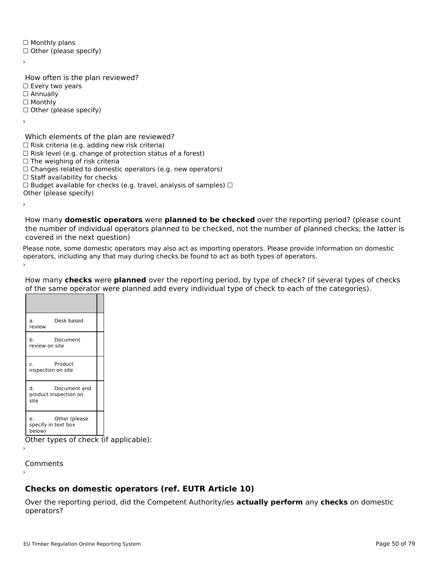$\Box$  Monthly plans ☐ Other (please specify) › How often is the plan reviewed? □ Every two years □ Annually ☐ Monthly  $\Box$  Other (please specify) › Which elements of the plan are reviewed?  $\Box$  Risk criteria (e.g. adding new risk criteria)  $\Box$  Risk level (e.g. change of protection status of a forest)  $\Box$  The weighing of risk criteria □ Changes related to domestic operators (e.g. new operators)  $\Box$  Staff availability for checks

 $\Box$  Budget available for checks (e.g. travel, analysis of samples)  $\Box$ 

Other (please specify)

›

How many **domestic operators** were **planned to be checked** over the reporting period? (please count the number of individual operators planned to be checked, not the number of planned checks; the latter is covered in the next question)

Please note, some domestic operators may also act as importing operators. Please provide information on domestic operators, including any that may during checks be found to act as both types of operators. ›

How many **checks** were **planned** over the reporting period, by type of check? (if several types of checks of the same operator were planned add every individual type of check to each of the categories).

| a.<br>review                        | Desk based                            |  |
|-------------------------------------|---------------------------------------|--|
| b.<br>review on site                | Document                              |  |
| C.<br>inspection on site            | Product                               |  |
| d.<br>site                          | Document and<br>product inspection on |  |
| e.<br>specify in text box<br>below) | Other (please                         |  |

Other types of check (if applicable):

Comments

›

›

# **Checks on domestic operators (ref. EUTR Article 10)**

Over the reporting period, did the Competent Authority/ies **actually perform** any **checks** on domestic operators?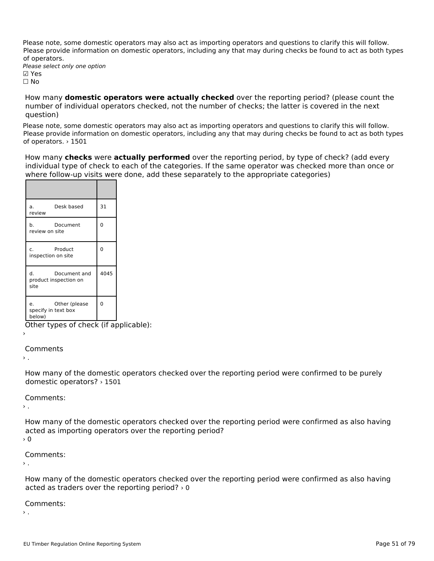Please note, some domestic operators may also act as importing operators and questions to clarify this will follow. Please provide information on domestic operators, including any that may during checks be found to act as both types of operators. *Please select only one option*

☑ Yes

☐ No

How many **domestic operators were actually checked** over the reporting period? (please count the number of individual operators checked, not the number of checks; the latter is covered in the next question)

Please note, some domestic operators may also act as importing operators and questions to clarify this will follow. Please provide information on domestic operators, including any that may during checks be found to act as both types of operators. › 1501

How many **checks** were **actually performed** over the reporting period, by type of check? (add every individual type of check to each of the categories. If the same operator was checked more than once or where follow-up visits were done, add these separately to the appropriate categories)

| Desk based<br>a.<br>review                           | 31   |
|------------------------------------------------------|------|
| b.<br>Document<br>review on site                     | O    |
| Product<br>$\mathsf{C}$ .<br>inspection on site      | 0    |
| d.<br>Document and<br>product inspection on<br>site  | 4045 |
| Other (please<br>e.<br>specify in text box<br>below) | 0    |

Other types of check (if applicable):

Comments

› .

›

How many of the domestic operators checked over the reporting period were confirmed to be purely domestic operators? › 1501

Comments:

› .

How many of the domestic operators checked over the reporting period were confirmed as also having acted as importing operators over the reporting period?

› 0

Comments:

› .

How many of the domestic operators checked over the reporting period were confirmed as also having acted as traders over the reporting period?  $\rightarrow$  0

Comments:

 $\rightarrow$  .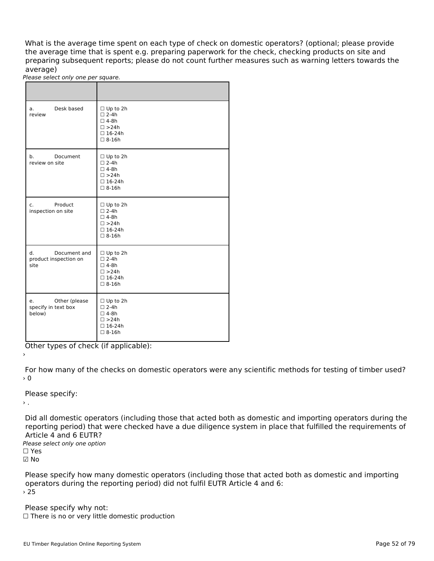What is the average time spent on each type of check on domestic operators? (optional; please provide the average time that is spent e.g. preparing paperwork for the check, checking products on site and preparing subsequent reports; please do not count further measures such as warning letters towards the average)

*Please select only one per square.*

| Desk based<br>a.<br>review                           | $\Box$ Up to 2h<br>$\square$ 2-4h<br>□ 4-8h<br>$\square$ >24h<br>$\square$ 16-24h<br>□ 8-16h      |
|------------------------------------------------------|---------------------------------------------------------------------------------------------------|
| Document<br>b.<br>review on site                     | $\Box$ Up to 2h<br>$\square$ 2-4h<br>$\square$ 4-8h<br>$\Box$ >24h<br>$\square$ 16-24h<br>□ 8-16h |
| Product<br>c.<br>inspection on site                  | $\Box$ Up to 2h<br>$\Box$ 2-4h<br>$\square$ 4-8h<br>$\square$ >24h<br>$\square$ 16-24h<br>□ 8-16h |
| d.<br>Document and<br>product inspection on<br>site  | $\Box$ Up to 2h<br>$\square$ 2-4h<br>□ 4-8h<br>$\square$ >24h<br>$\square$ 16-24h<br>□ 8-16h      |
| Other (please<br>e.<br>specify in text box<br>below) | $\Box$ Up to 2h<br>$\square$ 2-4h<br>$\Box$ 4-8h<br>$\square$ >24h<br>□ 16-24h<br>□ 8-16h         |

Other types of check (if applicable):

For how many of the checks on domestic operators were any scientific methods for testing of timber used? › 0

Please specify:

› .

›

Did all domestic operators (including those that acted both as domestic and importing operators during the reporting period) that were checked have a due diligence system in place that fulfilled the requirements of Article 4 and 6 EUTR?

*Please select only one option* ☐ Yes ☑ No

Please specify how many domestic operators (including those that acted both as domestic and importing operators during the reporting period) did not fulfil EUTR Article 4 and 6: › 25

Please specify why not:  $\Box$  There is no or very little domestic production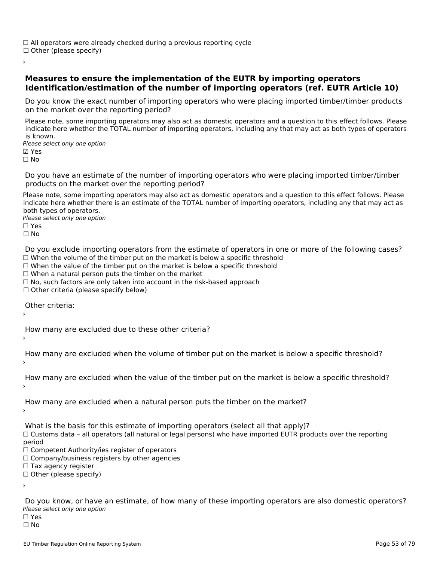# **Measures to ensure the implementation of the EUTR by importing operators Identification/estimation of the number of importing operators (ref. EUTR Article 10)**

Do you know the exact number of importing operators who were placing imported timber/timber products on the market over the reporting period?

Please note, some importing operators may also act as domestic operators and a question to this effect follows. Please indicate here whether the TOTAL number of importing operators, including any that may act as both types of operators is known.

*Please select only one option* ☑ Yes

☐ No

›

Do you have an estimate of the number of importing operators who were placing imported timber/timber products on the market over the reporting period?

Please note, some importing operators may also act as domestic operators and a question to this effect follows. Please indicate here whether there is an estimate of the TOTAL number of importing operators, including any that may act as both types of operators.

*Please select only one option*

☐ Yes

☐ No

›

›

›

Do you exclude importing operators from the estimate of operators in one or more of the following cases?  $\Box$  When the volume of the timber put on the market is below a specific threshold

 $\Box$  When the value of the timber put on the market is below a specific threshold

☐ When a natural person puts the timber on the market

 $\Box$  No, such factors are only taken into account in the risk-based approach

 $\Box$  Other criteria (please specify below)

Other criteria:

How many are excluded due to these other criteria?

How many are excluded when the volume of timber put on the market is below a specific threshold? ›

How many are excluded when the value of the timber put on the market is below a specific threshold? ›

How many are excluded when a natural person puts the timber on the market?

What is the basis for this estimate of importing operators (select all that apply)?

 $\Box$  Customs data – all operators (all natural or legal persons) who have imported EUTR products over the reporting period

 $\Box$  Competent Authority/ies register of operators

 $\Box$  Company/business registers by other agencies

□ Tax agency register

 $\Box$  Other (please specify)

›

Do you know, or have an estimate, of how many of these importing operators are also domestic operators? *Please select only one option*

☐ Yes

☐ No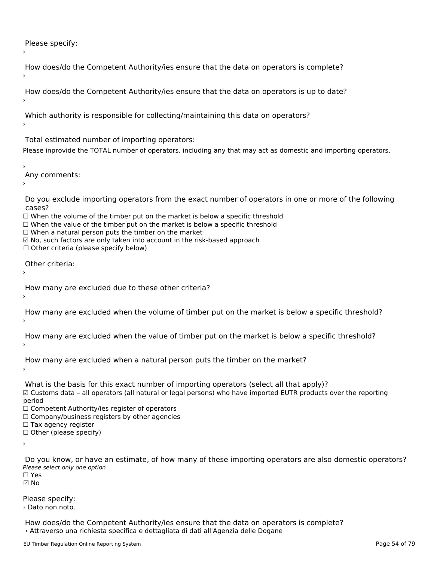Please specify:

›

›

How does/do the Competent Authority/ies ensure that the data on operators is complete?

How does/do the Competent Authority/ies ensure that the data on operators is up to date? ›

Which authority is responsible for collecting/maintaining this data on operators? ›

Total estimated number of importing operators:

Please inprovide the TOTAL number of operators, including any that may act as domestic and importing operators.

Any comments:

›

›

Do you exclude importing operators from the exact number of operators in one or more of the following cases?

 $\Box$  When the volume of the timber put on the market is below a specific threshold

 $\Box$  When the value of the timber put on the market is below a specific threshold

 $\Box$  When a natural person puts the timber on the market

☑ No, such factors are only taken into account in the risk-based approach

☐ Other criteria (please specify below)

Other criteria:

›

›

How many are excluded due to these other criteria?

How many are excluded when the volume of timber put on the market is below a specific threshold? ›

How many are excluded when the value of timber put on the market is below a specific threshold? ›

How many are excluded when a natural person puts the timber on the market? ›

What is the basis for this exact number of importing operators (select all that apply)? ☑ Customs data – all operators (all natural or legal persons) who have imported EUTR products over the reporting period

☐ Competent Authority/ies register of operators

 $\Box$  Company/business registers by other agencies

 $\Box$  Tax agency register

□ Other (please specify)

›

Do you know, or have an estimate, of how many of these importing operators are also domestic operators? *Please select only one option* ☐ Yes

☑ No

Please specify: › Dato non noto.

How does/do the Competent Authority/ies ensure that the data on operators is complete? › Attraverso una richiesta specifica e dettagliata di dati all'Agenzia delle Dogane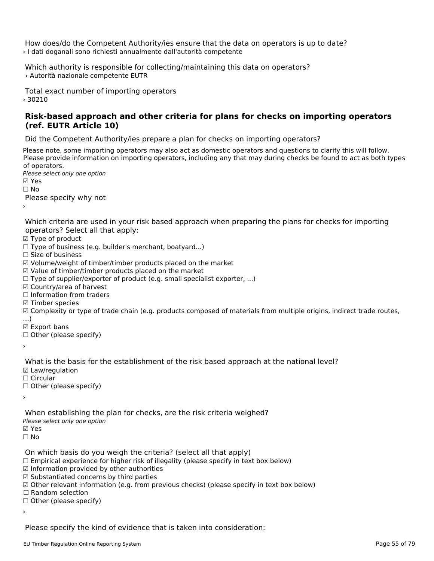How does/do the Competent Authority/ies ensure that the data on operators is up to date? › I dati doganali sono richiesti annualmente dall'autorità competente

Which authority is responsible for collecting/maintaining this data on operators? › Autorità nazionale competente EUTR

Total exact number of importing operators › 30210

### **Risk-based approach and other criteria for plans for checks on importing operators (ref. EUTR Article 10)**

Did the Competent Authority/ies prepare a plan for checks on importing operators?

Please note, some importing operators may also act as domestic operators and questions to clarify this will follow. Please provide information on importing operators, including any that may during checks be found to act as both types of operators. *Please select only one option*

☑ Yes ☐ No Please specify why not

Which criteria are used in your risk based approach when preparing the plans for checks for importing operators? Select all that apply:

☑ Type of product

☐ Type of business (e.g. builder's merchant, boatyard...)

□ Size of business

☑ Volume/weight of timber/timber products placed on the market

☑ Value of timber/timber products placed on the market

 $\Box$  Type of supplier/exporter of product (e.g. small specialist exporter, ...)

☑ Country/area of harvest

☐ Information from traders

☑ Timber species

☑ Complexity or type of trade chain (e.g. products composed of materials from multiple origins, indirect trade routes,

…)

›

☑ Export bans

☐ Other (please specify)

›

What is the basis for the establishment of the risk based approach at the national level? ☑ Law/regulation ☐ Circular

□ Other (please specify)

›

When establishing the plan for checks, are the risk criteria weighed?

*Please select only one option*

☑ Yes

☐ No

On which basis do you weigh the criteria? (select all that apply)

 $\Box$  Empirical experience for higher risk of illegality (please specify in text box below)

☑ Information provided by other authorities

☑ Substantiated concerns by third parties

☑ Other relevant information (e.g. from previous checks) (please specify in text box below)

☐ Random selection

 $\Box$  Other (please specify)

›

Please specify the kind of evidence that is taken into consideration: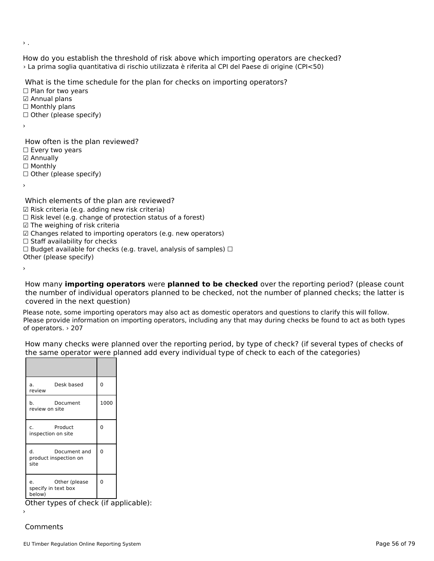› .

How do you establish the threshold of risk above which importing operators are checked? › La prima soglia quantitativa di rischio utilizzata è riferita al CPI del Paese di origine (CPI<50)

What is the time schedule for the plan for checks on importing operators?

- □ Plan for two years
- ☑ Annual plans
- □ Monthly plans
- $\Box$  Other (please specify)
- ›
- How often is the plan reviewed? □ Every two years ☑ Annually ☐ Monthly  $\Box$  Other (please specify) ›

Which elements of the plan are reviewed?

- ☑ Risk criteria (e.g. adding new risk criteria)
- □ Risk level (e.g. change of protection status of a forest)
- ☑ The weighing of risk criteria
- ☑ Changes related to importing operators (e.g. new operators)
- □ Staff availability for checks
- □ Budget available for checks (e.g. travel, analysis of samples) □
- Other (please specify)
- ›

How many **importing operators** were **planned to be checked** over the reporting period? (please count the number of individual operators planned to be checked, not the number of planned checks; the latter is covered in the next question)

Please note, some importing operators may also act as domestic operators and questions to clarify this will follow. Please provide information on importing operators, including any that may during checks be found to act as both types of operators. › 207

How many checks were planned over the reporting period, by type of check? (if several types of checks of the same operator were planned add every individual type of check to each of the categories)

| Desk based<br>a.<br>review                           | 0    |
|------------------------------------------------------|------|
| b.<br>Document<br>review on site                     | 1000 |
| Product<br>C.<br>inspection on site                  | O    |
| d.<br>Document and<br>product inspection on<br>site  | O    |
| Other (please<br>e.<br>specify in text box<br>below) | n    |

Other types of check (if applicable):

#### Comments

›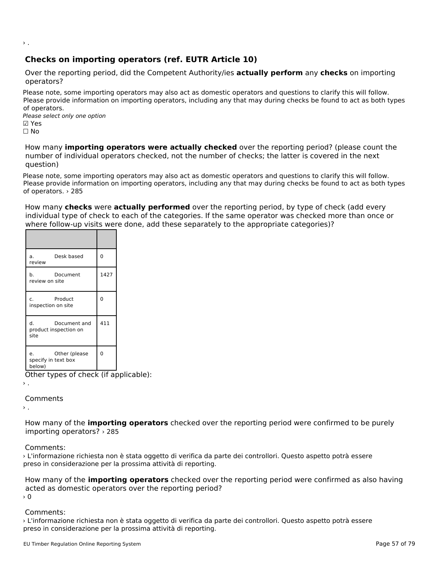# **Checks on importing operators (ref. EUTR Article 10)**

Over the reporting period, did the Competent Authority/ies **actually perform** any **checks** on importing operators?

Please note, some importing operators may also act as domestic operators and questions to clarify this will follow. Please provide information on importing operators, including any that may during checks be found to act as both types of operators. *Please select only one option*

☑ Yes

 $\mathbf{y}$ .

☐ No

How many **importing operators were actually checked** over the reporting period? (please count the number of individual operators checked, not the number of checks; the latter is covered in the next question)

Please note, some importing operators may also act as domestic operators and questions to clarify this will follow. Please provide information on importing operators, including any that may during checks be found to act as both types of operators. › 285

How many **checks** were **actually performed** over the reporting period, by type of check (add every individual type of check to each of the categories. If the same operator was checked more than once or where follow-up visits were done, add these separately to the appropriate categories)?

| Desk based<br>a.<br>review                           | 0    |
|------------------------------------------------------|------|
| b.<br>Document<br>review on site                     | 1427 |
| Product<br>C.<br>inspection on site                  | 0    |
| d.<br>Document and<br>product inspection on<br>site  | 411  |
| Other (please<br>e.<br>specify in text box<br>below) | 0    |

Other types of check (if applicable):

 $\mathbf{a}$ .

### Comments

 $\mathbf{y}$ .

How many of the **importing operators** checked over the reporting period were confirmed to be purely importing operators? › 285

#### Comments:

› L'informazione richiesta non è stata oggetto di verifica da parte dei controllori. Questo aspetto potrà essere preso in considerazione per la prossima attività di reporting.

How many of the **importing operators** checked over the reporting period were confirmed as also having acted as domestic operators over the reporting period? › 0

#### Comments:

› L'informazione richiesta non è stata oggetto di verifica da parte dei controllori. Questo aspetto potrà essere preso in considerazione per la prossima attività di reporting.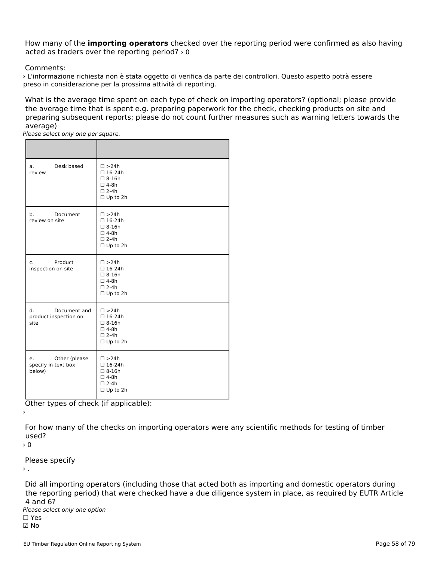#### How many of the **importing operators** checked over the reporting period were confirmed as also having acted as traders over the reporting period?  $\rightarrow$  0

#### Comments:

› L'informazione richiesta non è stata oggetto di verifica da parte dei controllori. Questo aspetto potrà essere preso in considerazione per la prossima attività di reporting.

What is the average time spent on each type of check on importing operators? (optional; please provide the average time that is spent e.g. preparing paperwork for the check, checking products on site and preparing subsequent reports; please do not count further measures such as warning letters towards the average)

*Please select only one per square.*

| Desk based<br>a.<br>review                           | $\square$ >24h<br>□ 16-24h<br>$\square$ 8-16h<br>$\square$ 4-8h<br>$\square$ 2-4h<br>□ Up to 2h      |
|------------------------------------------------------|------------------------------------------------------------------------------------------------------|
| b.<br>Document<br>review on site                     | $\Box$ >24h<br>□ 16-24h<br>$\Box$ 8-16h<br>$\square$ 4-8h<br>$\square$ 2-4h<br>□ Up to 2h            |
| Product<br>c.<br>inspection on site                  | $\square$ >24h<br>□ 16-24h<br>$\square$ 8-16h<br>$\square$ 4-8h<br>$\square$ 2-4h<br>$\Box$ Up to 2h |
| d.<br>Document and<br>product inspection on<br>site  | $\square$ >24h<br>□ 16-24h<br>$\Box$ 8-16h<br>$\square$ 4-8h<br>$\square$ 2-4h<br>□ Up to 2h         |
| Other (please<br>e.<br>specify in text box<br>below) | $\square$ >24h<br>□ 16-24h<br>$\square$ 8-16h<br>$\square$ 4-8h<br>$\square$ 2-4h<br>$\Box$ Up to 2h |

Other types of check (if applicable):

For how many of the checks on importing operators were any scientific methods for testing of timber used?

› 0

›

Please specify

 $\mathbf{a}$ .

Did all importing operators (including those that acted both as importing and domestic operators during the reporting period) that were checked have a due diligence system in place, as required by EUTR Article 4 and 6? *Please select only one option* ☐ Yes ☑ No

EU Timber Regulation Online Reporting System Page 58 of 79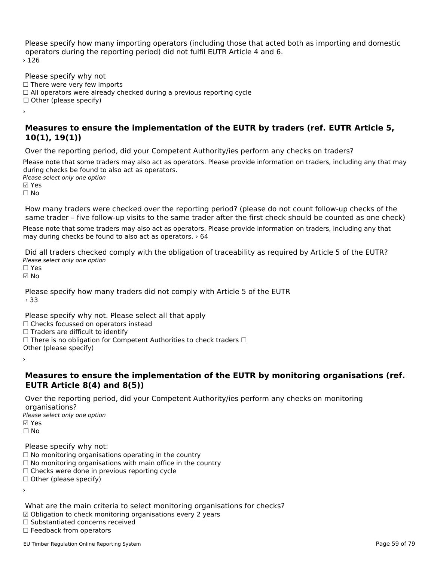Please specify how many importing operators (including those that acted both as importing and domestic operators during the reporting period) did not fulfil EUTR Article 4 and 6.  $>126$ 

Please specify why not □ There were very few imports  $\Box$  All operators were already checked during a previous reporting cycle  $\Box$  Other (please specify)

### **Measures to ensure the implementation of the EUTR by traders (ref. EUTR Article 5, 10(1), 19(1))**

Over the reporting period, did your Competent Authority/ies perform any checks on traders?

Please note that some traders may also act as operators. Please provide information on traders, including any that may during checks be found to also act as operators.

*Please select only one option* ☑ Yes

☐ No

›

How many traders were checked over the reporting period? (please do not count follow-up checks of the same trader – five follow-up visits to the same trader after the first check should be counted as one check)

Please note that some traders may also act as operators. Please provide information on traders, including any that may during checks be found to also act as operators.  $> 64$ 

Did all traders checked comply with the obligation of traceability as required by Article 5 of the EUTR? *Please select only one option* ☐ Yes

☑ No

Please specify how many traders did not comply with Article 5 of the EUTR › 33

Please specify why not. Please select all that apply □ Checks focussed on operators instead □ Traders are difficult to identify ☐ There is no obligation for Competent Authorities to check traders ☐ Other (please specify)

›

### **Measures to ensure the implementation of the EUTR by monitoring organisations (ref. EUTR Article 8(4) and 8(5))**

Over the reporting period, did your Competent Authority/ies perform any checks on monitoring organisations?

*Please select only one option* ☑ Yes

☐ No

Please specify why not:

☐ No monitoring organisations operating in the country

- $\Box$  No monitoring organisations with main office in the country
- $\Box$  Checks were done in previous reporting cycle

 $\Box$  Other (please specify)

›

What are the main criteria to select monitoring organisations for checks?

☑ Obligation to check monitoring organisations every 2 years

☐ Substantiated concerns received

□ Feedback from operators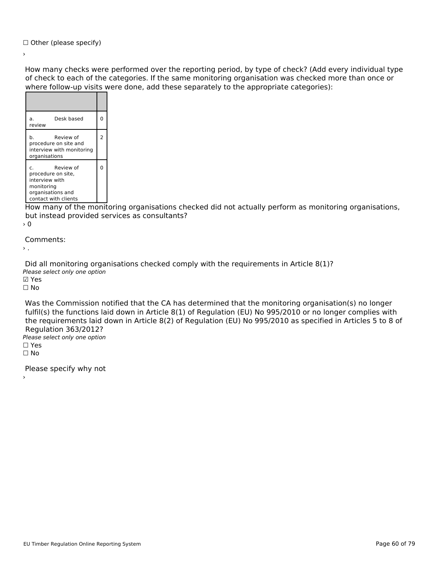#### □ Other (please specify)

How many checks were performed over the reporting period, by type of check? (Add every individual type of check to each of the categories. If the same monitoring organisation was checked more than once or where follow-up visits were done, add these separately to the appropriate categories):

| Desk based<br>a.<br>review                                                                                         |  |
|--------------------------------------------------------------------------------------------------------------------|--|
| Review of<br>b.<br>procedure on site and<br>interview with monitoring<br>organisations                             |  |
| Review of<br>c.<br>procedure on site,<br>interview with<br>monitoring<br>organisations and<br>contact with clients |  |

How many of the monitoring organisations checked did not actually perform as monitoring organisations, but instead provided services as consultants?

› 0

›

Comments:

› .

Did all monitoring organisations checked comply with the requirements in Article 8(1)? *Please select only one option* ☑ Yes

☐ No

Was the Commission notified that the CA has determined that the monitoring organisation(s) no longer fulfil(s) the functions laid down in Article 8(1) of Regulation (EU) No 995/2010 or no longer complies with the requirements laid down in Article 8(2) of Regulation (EU) No 995/2010 as specified in Articles 5 to 8 of Regulation 363/2012? *Please select only one option*

☐ Yes ☐ No

Please specify why not

›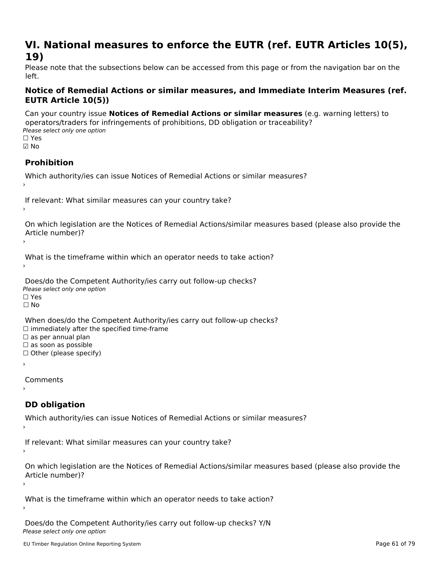# **VI. National measures to enforce the EUTR (ref. EUTR Articles 10(5), 19)**

Please note that the subsections below can be accessed from this page or from the navigation bar on the left.

### **Notice of Remedial Actions or similar measures, and Immediate Interim Measures (ref. EUTR Article 10(5))**

Can your country issue **Notices of Remedial Actions or similar measures** (e.g. warning letters) to operators/traders for infringements of prohibitions, DD obligation or traceability? *Please select only one option* ☐ Yes

```
☑ No
```
›

›

# **Prohibition**

```
Which authority/ies can issue Notices of Remedial Actions or similar measures?
›
```

```
If relevant: What similar measures can your country take?
```

```
On which legislation are the Notices of Remedial Actions/similar measures based (please also provide the 
Article number)?
```

```
What is the timeframe within which an operator needs to take action?
›
```

```
Does/do the Competent Authority/ies carry out follow-up checks?
Please select only one option
☐ Yes 
☐ No
```

```
When does/do the Competent Authority/ies carry out follow-up checks?
\Box immediately after the specified time-frame
\square as per annual plan
\square as soon as possible
\Box Other (please specify)
```

```
›
```
›

›

›

›

Comments

# **DD obligation**

Which authority/ies can issue Notices of Remedial Actions or similar measures?

```
If relevant: What similar measures can your country take?
```
On which legislation are the Notices of Remedial Actions/similar measures based (please also provide the Article number)?

What is the timeframe within which an operator needs to take action? ›

Does/do the Competent Authority/ies carry out follow-up checks? Y/N *Please select only one option*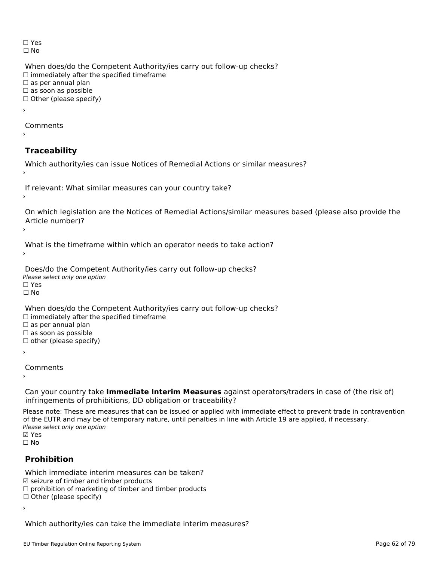```
☐ Yes 
☐ No
When does/do the Competent Authority/ies carry out follow-up checks?
\Box immediately after the specified timeframe
\square as per annual plan
□ as soon as possible
☐ Other (please specify)
›
```
#### ›

›

›

### **Traceability**

```
Which authority/ies can issue Notices of Remedial Actions or similar measures?
›
```

```
If relevant: What similar measures can your country take?
```

```
On which legislation are the Notices of Remedial Actions/similar measures based (please also provide the 
Article number)?
```

```
What is the timeframe within which an operator needs to take action?
›
```

```
Does/do the Competent Authority/ies carry out follow-up checks?
Please select only one option
☐ Yes 
☐ No
```
When does/do the Competent Authority/ies carry out follow-up checks?

- $\Box$  immediately after the specified timeframe
- □ as per annual plan
- $\Box$  as soon as possible
- $\Box$  other (please specify)
- ›

#### **Comments**

```
›
```
Can your country take **Immediate Interim Measures** against operators/traders in case of (the risk of) infringements of prohibitions, DD obligation or traceability?

Please note: These are measures that can be issued or applied with immediate effect to prevent trade in contravention of the EUTR and may be of temporary nature, until penalties in line with Article 19 are applied, if necessary. *Please select only one option* ☑ Yes

```
☐ No
```
# **Prohibition**

```
Which immediate interim measures can be taken?
☑ seizure of timber and timber products
\Box prohibition of marketing of timber and timber products
\Box Other (please specify)
```

```
›
```
Which authority/ies can take the immediate interim measures?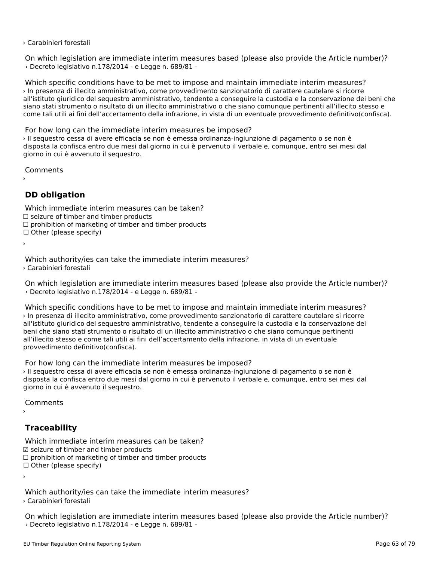› Carabinieri forestali

On which legislation are immediate interim measures based (please also provide the Article number)? › Decreto legislativo n.178/2014 - e Legge n. 689/81 -

Which specific conditions have to be met to impose and maintain immediate interim measures? › In presenza di illecito amministrativo, come provvedimento sanzionatorio di carattere cautelare si ricorre all'istituto giuridico del sequestro amministrativo, tendente a conseguire la custodia e la conservazione dei beni che siano stati strumento o risultato di un illecito amministrativo o che siano comunque pertinenti all'illecito stesso e come tali utili ai fini dell'accertamento della infrazione, in vista di un eventuale provvedimento definitivo(confisca).

For how long can the immediate interim measures be imposed?

› Il sequestro cessa di avere efficacia se non è emessa ordinanza-ingiunzione di pagamento o se non è disposta la confisca entro due mesi dal giorno in cui è pervenuto il verbale e, comunque, entro sei mesi dal giorno in cui è avvenuto il sequestro.

Comments

# **DD obligation**

Which immediate interim measures can be taken? □ seizure of timber and timber products  $\Box$  prohibition of marketing of timber and timber products  $\Box$  Other (please specify)

›

›

Which authority/ies can take the immediate interim measures? › Carabinieri forestali

On which legislation are immediate interim measures based (please also provide the Article number)? › Decreto legislativo n.178/2014 - e Legge n. 689/81 -

Which specific conditions have to be met to impose and maintain immediate interim measures? › In presenza di illecito amministrativo, come provvedimento sanzionatorio di carattere cautelare si ricorre all'istituto giuridico del sequestro amministrativo, tendente a conseguire la custodia e la conservazione dei beni che siano stati strumento o risultato di un illecito amministrativo o che siano comunque pertinenti all'illecito stesso e come tali utili ai fini dell'accertamento della infrazione, in vista di un eventuale provvedimento definitivo(confisca).

For how long can the immediate interim measures be imposed?

› Il sequestro cessa di avere efficacia se non è emessa ordinanza-ingiunzione di pagamento o se non è disposta la confisca entro due mesi dal giorno in cui è pervenuto il verbale e, comunque, entro sei mesi dal giorno in cui è avvenuto il sequestro.

**Comments** 

# **Traceability**

Which immediate interim measures can be taken?

☑ seizure of timber and timber products

 $\Box$  prohibition of marketing of timber and timber products

 $\Box$  Other (please specify)

›

›

Which authority/ies can take the immediate interim measures? › Carabinieri forestali

On which legislation are immediate interim measures based (please also provide the Article number)?  $\rightarrow$  Decreto legislativo n.178/2014 - e Legge n. 689/81 -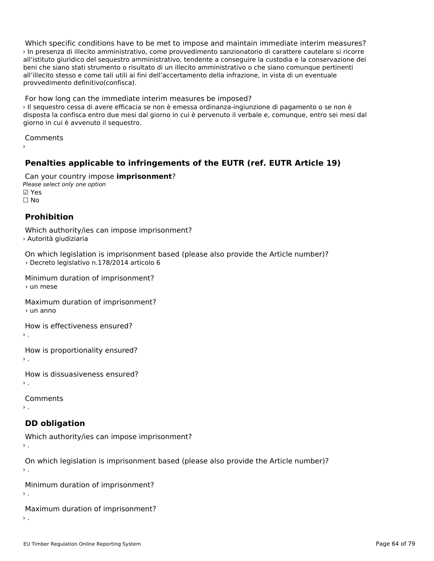Which specific conditions have to be met to impose and maintain immediate interim measures? › In presenza di illecito amministrativo, come provvedimento sanzionatorio di carattere cautelare si ricorre all'istituto giuridico del sequestro amministrativo, tendente a conseguire la custodia e la conservazione dei beni che siano stati strumento o risultato di un illecito amministrativo o che siano comunque pertinenti all'illecito stesso e come tali utili ai fini dell'accertamento della infrazione, in vista di un eventuale provvedimento definitivo(confisca).

#### For how long can the immediate interim measures be imposed?

› Il sequestro cessa di avere efficacia se non è emessa ordinanza-ingiunzione di pagamento o se non è disposta la confisca entro due mesi dal giorno in cui è pervenuto il verbale e, comunque, entro sei mesi dal giorno in cui è avvenuto il sequestro.

Comments

›

# **Penalties applicable to infringements of the EUTR (ref. EUTR Article 19)**

Can your country impose **imprisonment**? *Please select only one option* ☑ Yes ☐ No

### **Prohibition**

Which authority/ies can impose imprisonment? › Autorità giudiziaria

On which legislation is imprisonment based (please also provide the Article number)? › Decreto legislativo n.178/2014 articolo 6

```
Minimum duration of imprisonment? 
› un mese
```

```
Maximum duration of imprisonment? 
› un anno
```

```
How is effectiveness ensured?
```

```
\mathbf{y}.
```

```
How is proportionality ensured?
```

```
\rightarrow .
```
 $\rightarrow$  .

How is dissuasiveness ensured? › .

```
Comments
```
# **DD obligation**

Which authority/ies can impose imprisonment? › .

On which legislation is imprisonment based (please also provide the Article number)?

Minimum duration of imprisonment? › .

```
Maximum duration of imprisonment?
```

```
\rightarrow .
```
 $\rightarrow$  .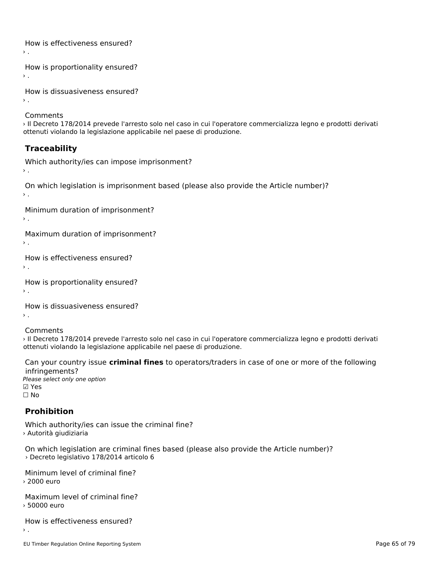How is effectiveness ensured?  $\rightarrow$  .

How is proportionality ensured?  $\mathcal{P}$ .

How is dissuasiveness ensured? › .

Comments

› Il Decreto 178/2014 prevede l'arresto solo nel caso in cui l'operatore commercializza legno e prodotti derivati ottenuti violando la legislazione applicabile nel paese di produzione.

### **Traceability**

Which authority/ies can impose imprisonment? › .

On which legislation is imprisonment based (please also provide the Article number)? › .

Minimum duration of imprisonment?

 $\rightarrow$  .

Maximum duration of imprisonment?

```
› .
```
How is effectiveness ensured? › .

How is proportionality ensured? › .

How is dissuasiveness ensured?  $\mathbf{y}$ .

Comments

› Il Decreto 178/2014 prevede l'arresto solo nel caso in cui l'operatore commercializza legno e prodotti derivati ottenuti violando la legislazione applicabile nel paese di produzione.

Can your country issue **criminal fines** to operators/traders in case of one or more of the following infringements? *Please select only one option* ☑ Yes ☐ No

### **Prohibition**

Which authority/ies can issue the criminal fine? › Autorità giudiziaria

On which legislation are criminal fines based (please also provide the Article number)? › Decreto legislativo 178/2014 articolo 6

Minimum level of criminal fine? › 2000 euro

Maximum level of criminal fine? › 50000 euro

How is effectiveness ensured? › .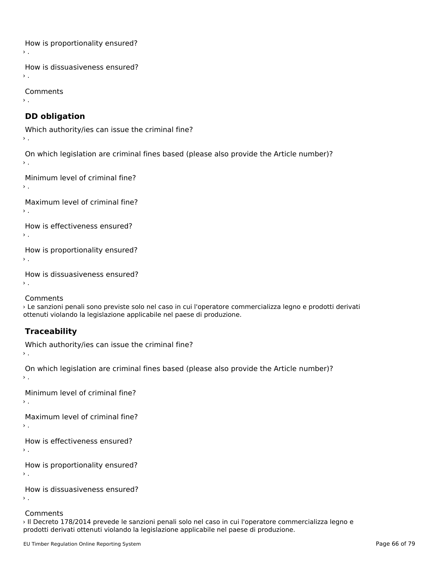How is proportionality ensured? › .

How is dissuasiveness ensured?  $\mathcal{P}$ .

Comments

› .

# **DD obligation**

Which authority/ies can issue the criminal fine?

 $\sum_{i=1}^{n}$ 

On which legislation are criminal fines based (please also provide the Article number)?  $\mathbf{y}$ .

Minimum level of criminal fine? › .

Maximum level of criminal fine? › .

How is effectiveness ensured?

 $\rightarrow$  .

How is proportionality ensured?  $\mathbf{\Sigma}$  .

How is dissuasiveness ensured? › .

**Comments** 

› Le sanzioni penali sono previste solo nel caso in cui l'operatore commercializza legno e prodotti derivati ottenuti violando la legislazione applicabile nel paese di produzione.

# **Traceability**

Which authority/ies can issue the criminal fine? › .

On which legislation are criminal fines based (please also provide the Article number)?

Minimum level of criminal fine?

› .

› .

Maximum level of criminal fine? › .

How is effectiveness ensured?  $\rightarrow$  .

How is proportionality ensured?  $\rightarrow$  .

How is dissuasiveness ensured?  $\mathbf{\Sigma}$ .

Comments

› Il Decreto 178/2014 prevede le sanzioni penali solo nel caso in cui l'operatore commercializza legno e prodotti derivati ottenuti violando la legislazione applicabile nel paese di produzione.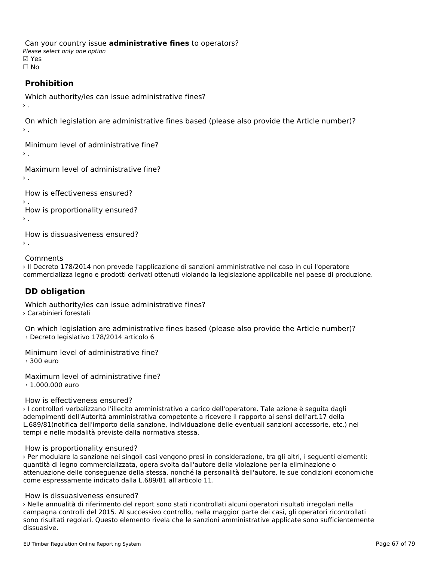Can your country issue **administrative fines** to operators? *Please select only one option* ☑ Yes ☐ No

### **Prohibition**

Which authority/ies can issue administrative fines?

On which legislation are administrative fines based (please also provide the Article number)?  $\mathbf{y}$ .

Minimum level of administrative fine?

 $\rightarrow$  .

 $\sum_{i=1}^{n}$ 

Maximum level of administrative fine?

› .

How is effectiveness ensured?

› . How is proportionality ensured?  $\mathbf{r}$ .

How is dissuasiveness ensured?

 $\rightarrow$  .

Comments

› Il Decreto 178/2014 non prevede l'applicazione di sanzioni amministrative nel caso in cui l'operatore commercializza legno e prodotti derivati ottenuti violando la legislazione applicabile nel paese di produzione.

### **DD obligation**

Which authority/ies can issue administrative fines? › Carabinieri forestali

On which legislation are administrative fines based (please also provide the Article number)? › Decreto legislativo 178/2014 articolo 6

Minimum level of administrative fine? › 300 euro

Maximum level of administrative fine? › 1.000.000 euro

#### How is effectiveness ensured?

› I controllori verbalizzano l'illecito amministrativo a carico dell'operatore. Tale azione è seguita dagli adempimenti dell'Autorità amministrativa competente a ricevere il rapporto ai sensi dell'art.17 della L.689/81(notifica dell'importo della sanzione, individuazione delle eventuali sanzioni accessorie, etc.) nei tempi e nelle modalità previste dalla normativa stessa.

#### How is proportionality ensured?

› Per modulare la sanzione nei singoli casi vengono presi in considerazione, tra gli altri, i seguenti elementi: quantità di legno commercializzata, opera svolta dall'autore della violazione per la eliminazione o attenuazione delle conseguenze della stessa, nonché la personalità dell'autore, le sue condizioni economiche come espressamente indicato dalla L.689/81 all'articolo 11.

#### How is dissuasiveness ensured?

› Nelle annualità di riferimento del report sono stati ricontrollati alcuni operatori risultati irregolari nella campagna controlli del 2015. Al successivo controllo, nella maggior parte dei casi, gli operatori ricontrollati sono risultati regolari. Questo elemento rivela che le sanzioni amministrative applicate sono sufficientemente dissuasive.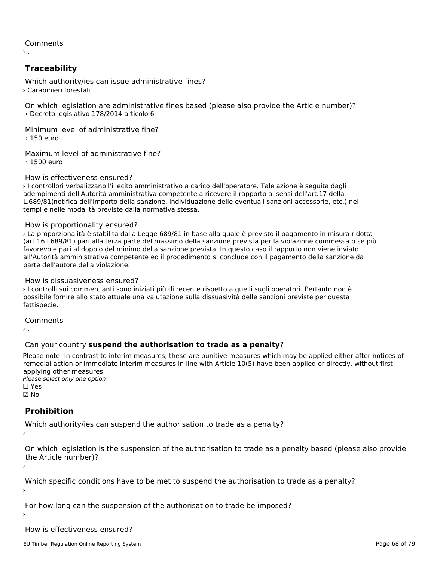$\rightarrow$  .

# **Traceability**

Which authority/ies can issue administrative fines? › Carabinieri forestali

On which legislation are administrative fines based (please also provide the Article number)? › Decreto legislativo 178/2014 articolo 6

Minimum level of administrative fine? › 150 euro

Maximum level of administrative fine? › 1500 euro

How is effectiveness ensured?

› I controllori verbalizzano l'illecito amministrativo a carico dell'operatore. Tale azione è seguita dagli adempimenti dell'Autorità amministrativa competente a ricevere il rapporto ai sensi dell'art.17 della L.689/81(notifica dell'importo della sanzione, individuazione delle eventuali sanzioni accessorie, etc.) nei tempi e nelle modalità previste dalla normativa stessa.

#### How is proportionality ensured?

› La proporzionalità è stabilita dalla Legge 689/81 in base alla quale è previsto il pagamento in misura ridotta (art.16 L689/81) pari alla terza parte del massimo della sanzione prevista per la violazione commessa o se più favorevole pari al doppio del minimo della sanzione prevista. In questo caso il rapporto non viene inviato all'Autorità amministrativa competente ed il procedimento si conclude con il pagamento della sanzione da parte dell'autore della violazione.

How is dissuasiveness ensured?

› I controlli sui commercianti sono iniziati più di recente rispetto a quelli sugli operatori. Pertanto non è possibile fornire allo stato attuale una valutazione sulla dissuasività delle sanzioni previste per questa fattispecie.

#### Comments

 $\rightarrow$  .

›

›

›

### Can your country **suspend the authorisation to trade as a penalty**?

Please note: In contrast to interim measures, these are punitive measures which may be applied either after notices of remedial action or immediate interim measures in line with Article 10(5) have been applied or directly, without first applying other measures

*Please select only one option* ☐ Yes ☑ No

# **Prohibition**

Which authority/ies can suspend the authorisation to trade as a penalty?

On which legislation is the suspension of the authorisation to trade as a penalty based (please also provide the Article number)?

Which specific conditions have to be met to suspend the authorisation to trade as a penalty? ›

For how long can the suspension of the authorisation to trade be imposed?

How is effectiveness ensured?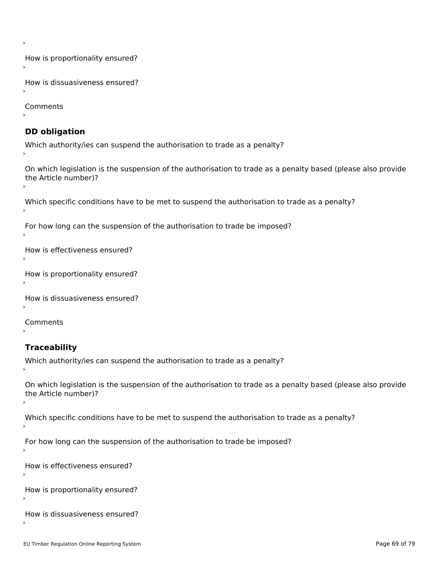```
How is proportionality ensured?
›
How is dissuasiveness ensured?
```
›

›

›

›

›

›

›

›

›

›

›

›

›

›

### **DD obligation**

```
Which authority/ies can suspend the authorisation to trade as a penalty?
```
On which legislation is the suspension of the authorisation to trade as a penalty based (please also provide the Article number)?

Which specific conditions have to be met to suspend the authorisation to trade as a penalty?

For how long can the suspension of the authorisation to trade be imposed?

How is effectiveness ensured?

How is proportionality ensured?

```
How is dissuasiveness ensured?
›
```
Comments

# **Traceability**

```
Which authority/ies can suspend the authorisation to trade as a penalty?
›
```

```
On which legislation is the suspension of the authorisation to trade as a penalty based (please also provide 
the Article number)?
```

```
Which specific conditions have to be met to suspend the authorisation to trade as a penalty?
›
```
For how long can the suspension of the authorisation to trade be imposed?

How is effectiveness ensured?

How is proportionality ensured?

```
How is dissuasiveness ensured?
```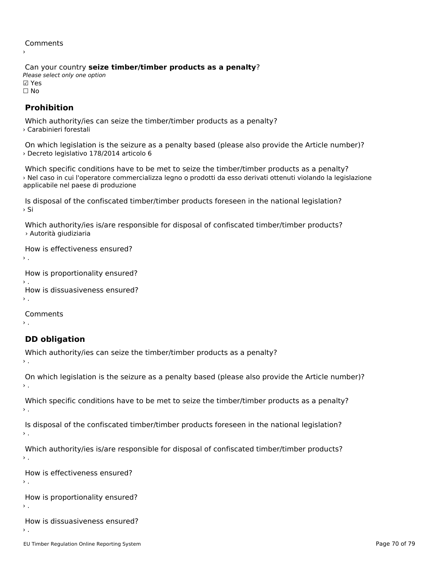›

Can your country **seize timber/timber products as a penalty**? *Please select only one option* ☑ Yes ☐ No

# **Prohibition**

Which authority/ies can seize the timber/timber products as a penalty? › Carabinieri forestali

On which legislation is the seizure as a penalty based (please also provide the Article number)? › Decreto legislativo 178/2014 articolo 6

Which specific conditions have to be met to seize the timber/timber products as a penalty? › Nel caso in cui l'operatore commercializza legno o prodotti da esso derivati ottenuti violando la legislazione applicabile nel paese di produzione

Is disposal of the confiscated timber/timber products foreseen in the national legislation? › Si

Which authority/ies is/are responsible for disposal of confiscated timber/timber products? › Autorità giudiziaria

```
How is effectiveness ensured?
› .
```
How is proportionality ensured?

```
\rightarrow .
How is dissuasiveness ensured?
› .
```
Comments

› .

# **DD obligation**

Which authority/ies can seize the timber/timber products as a penalty?

› .

On which legislation is the seizure as a penalty based (please also provide the Article number)? › .

Which specific conditions have to be met to seize the timber/timber products as a penalty?  $\mathcal{P}$  .

Is disposal of the confiscated timber/timber products foreseen in the national legislation?  $\rightarrow$  .

Which authority/ies is/are responsible for disposal of confiscated timber/timber products?  $\mathcal{P}$ .

How is effectiveness ensured?  $\mathbf{r}$ .

How is proportionality ensured? › .

How is dissuasiveness ensured? › .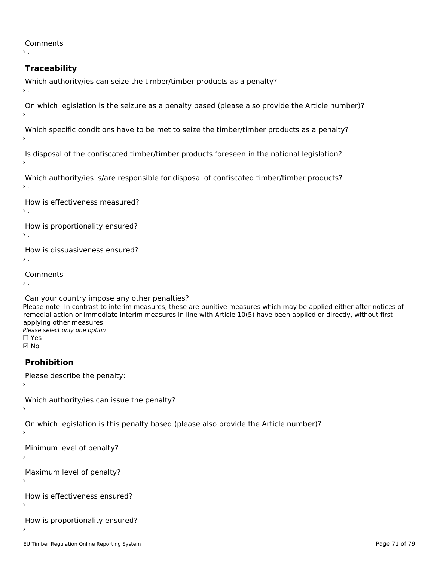```
\rightarrow .
```
›

# **Traceability**

Which authority/ies can seize the timber/timber products as a penalty?  $\mathbf{a}$ .

On which legislation is the seizure as a penalty based (please also provide the Article number)? ›

Which specific conditions have to be met to seize the timber/timber products as a penalty?

Is disposal of the confiscated timber/timber products foreseen in the national legislation? ›

Which authority/ies is/are responsible for disposal of confiscated timber/timber products? › .

How is effectiveness measured?  $\rightarrow$  .

How is proportionality ensured?

 $\rightarrow$  .

How is dissuasiveness ensured? › .

Comments

› .

›

›

›

›

›

›

Can your country impose any other penalties? Please note: In contrast to interim measures, these are punitive measures which may be applied either after notices of remedial action or immediate interim measures in line with Article 10(5) have been applied or directly, without first applying other measures. *Please select only one option* ☐ Yes ☑ No

# **Prohibition**

Please describe the penalty:

```
Which authority/ies can issue the penalty?
›
```
On which legislation is this penalty based (please also provide the Article number)?

Minimum level of penalty?

Maximum level of penalty?

How is effectiveness ensured?

How is proportionality ensured?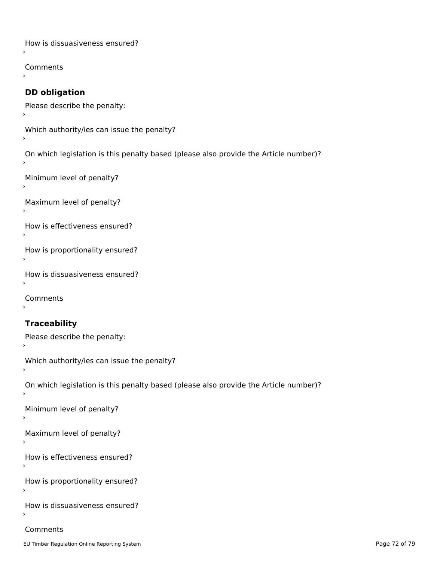```
How is dissuasiveness ensured?
›
```

```
Comments
```
›

›

›

›

›

›

›

›

›

›

# **DD obligation**

Please describe the penalty:

```
Which authority/ies can issue the penalty?
```
On which legislation is this penalty based (please also provide the Article number)?

Minimum level of penalty?

Maximum level of penalty?

How is effectiveness ensured?

How is proportionality ensured?

```
How is dissuasiveness ensured?
›
```
Comments

# **Traceability**

Please describe the penalty: ›

Which authority/ies can issue the penalty?

On which legislation is this penalty based (please also provide the Article number)? ›

Minimum level of penalty? ›

Maximum level of penalty? ›

How is effectiveness ensured? ›

How is proportionality ensured? ›

How is dissuasiveness ensured? ›

Comments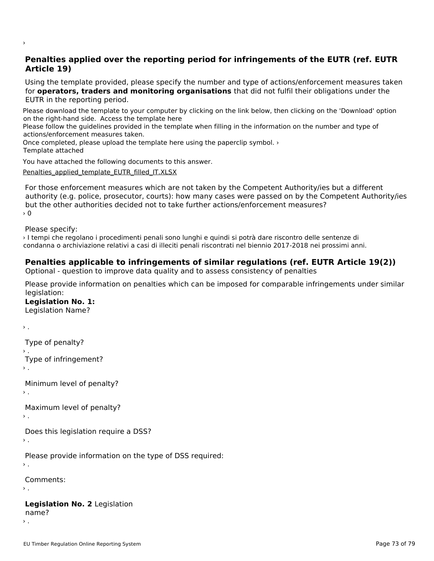### **Penalties applied over the reporting period for infringements of the EUTR (ref. EUTR Article 19)**

Using the template provided, please specify the number and type of actions/enforcement measures taken for **operators, traders and monitoring organisations** that did not fulfil their obligations under the EUTR in the reporting period.

Please download the template to your computer by clicking on the link below, then clicking on the 'Download' option on the right-hand side. Access the template here

Please follow the guidelines provided in the template when filling in the information on the number and type of actions/enforcement measures taken.

Once completed, please upload the template here using the paperclip symbol. >

Template attached

›

You have attached the following documents to this answer.

Penalties applied template EUTR filled IT.XLSX

For those enforcement measures which are not taken by the Competent Authority/ies but a different authority (e.g. police, prosecutor, courts): how many cases were passed on by the Competent Authority/ies but the other authorities decided not to take further actions/enforcement measures? › 0

Please specify:

› I tempi che regolano i procedimenti penali sono lunghi e quindi si potrà dare riscontro delle sentenze di condanna o archiviazione relativi a casi di illeciti penali riscontrati nel biennio 2017-2018 nei prossimi anni.

#### **Penalties applicable to infringements of similar regulations (ref. EUTR Article 19(2))**

Optional - question to improve data quality and to assess consistency of penalties

Please provide information on penalties which can be imposed for comparable infringements under similar legislation:

**Legislation No. 1:** Legislation Name?

 $\mathbf{\Sigma}$ .

```
Type of penalty?
```
› . Type of infringement?

 $\mathcal{P}$ .

Minimum level of penalty? › .

```
Maximum level of penalty?
```
› .

```
Does this legislation require a DSS?
```
› .

Please provide information on the type of DSS required:

 $\mathcal{V}_{\mathcal{A}}$ 

 $\rightarrow$  .

 $\rightarrow$  .

Comments:

**Legislation No. 2** Legislation

name?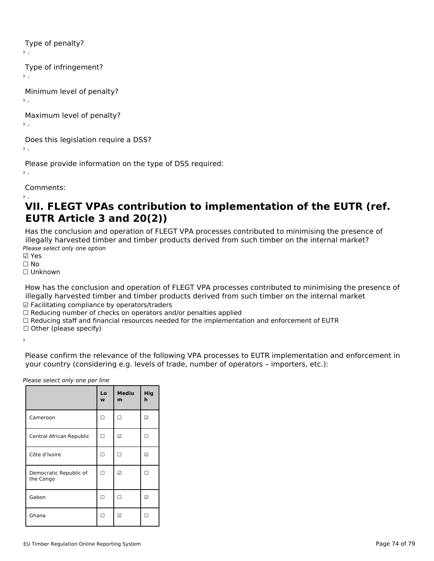```
Type of penalty?
› .
Type of infringement?
\mathcal{P}.
Minimum level of penalty?
\rightarrow .
Maximum level of penalty?
› .
```
Does this legislation require a DSS? › .

Please provide information on the type of DSS required:

Comments:

 $\mathbf{r}$ .

 $\mathbf{y}$ .

## **VII. FLEGT VPAs contribution to implementation of the EUTR (ref. EUTR Article 3 and 20(2))**

Has the conclusion and operation of FLEGT VPA processes contributed to minimising the presence of illegally harvested timber and timber products derived from such timber on the internal market? *Please select only one option*

☑ Yes

☐ No

☐ Unknown

How has the conclusion and operation of FLEGT VPA processes contributed to minimising the presence of illegally harvested timber and timber products derived from such timber on the internal market ☑ Facilitating compliance by operators/traders

 $\Box$  Reducing number of checks on operators and/or penalties applied

 $\Box$  Reducing staff and financial resources needed for the implementation and enforcement of EUTR

 $\Box$  Other (please specify)

›

Please confirm the relevance of the following VPA processes to EUTR implementation and enforcement in your country (considering e.g. levels of trade, number of operators – importers, etc.):

*Please select only one per line*

|                                     | Lo<br>W | <b>Mediu</b><br>m | <b>Hig</b><br>h |
|-------------------------------------|---------|-------------------|-----------------|
| Cameroon                            |         |                   | ☑               |
| Central African Republic            | п       | ☑                 | п               |
| Côte d'Ivoire                       | п       | п                 | ☑               |
| Democratic Republic of<br>the Congo | п       | ☑                 | П               |
| Gabon                               |         |                   | ☑               |
| Ghana                               | □       | ☑                 |                 |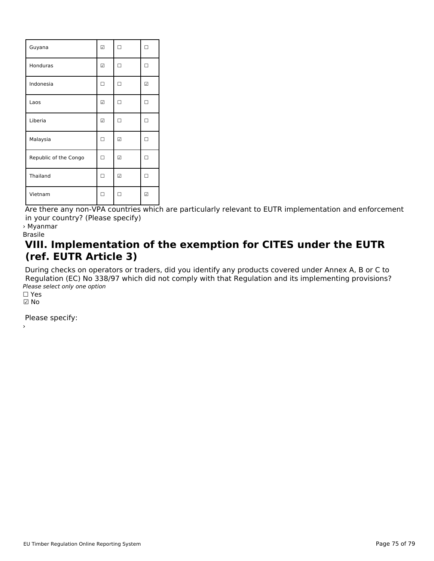| Guyana                | ☑ |   |   |
|-----------------------|---|---|---|
| Honduras              | ☑ | П |   |
| Indonesia             | п | п | ☑ |
| Laos                  | ☑ |   |   |
| Liberia               | ☑ | П | п |
| Malaysia              | п | ☑ | □ |
| Republic of the Congo | п | ☑ | □ |
| Thailand              | п | ☑ | п |
| Vietnam               |   |   | ☑ |

Are there any non-VPA countries which are particularly relevant to EUTR implementation and enforcement in your country? (Please specify)

› Myanmar

#### Brasile

## **VIII. Implementation of the exemption for CITES under the EUTR (ref. EUTR Article 3)**

During checks on operators or traders, did you identify any products covered under Annex A, B or C to Regulation (EC) No 338/97 which did not comply with that Regulation and its implementing provisions? *Please select only one option*

☐ Yes

☑ No

Please specify:

›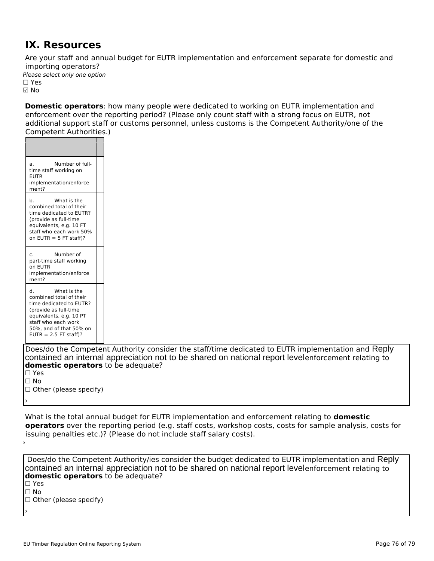## **IX. Resources**

Are your staff and annual budget for EUTR implementation and enforcement separate for domestic and importing operators?

*Please select only one option* ☐ Yes ☑ No

**Domestic operators**: how many people were dedicated to working on EUTR implementation and enforcement over the reporting period? (Please only count staff with a strong focus on EUTR, not additional support staff or customs personnel, unless customs is the Competent Authority/one of the Competent Authorities.)

| Number of full-<br>a.<br>time staff working on<br><b>EUTR</b><br>implementation/enforce<br>ment?                                                                                                         |                                                                                                                                                                                                           |
|----------------------------------------------------------------------------------------------------------------------------------------------------------------------------------------------------------|-----------------------------------------------------------------------------------------------------------------------------------------------------------------------------------------------------------|
| What is the<br>b.<br>combined total of their<br>time dedicated to EUTR?<br>(provide as full-time<br>equivalents, e.g. 10 FT<br>staff who each work 50%<br>on $EUTR = 5 FT staff$ ?                       |                                                                                                                                                                                                           |
| Number of<br>c.<br>part-time staff working<br>on EUTR<br>implementation/enforce<br>ment?                                                                                                                 |                                                                                                                                                                                                           |
| What is the<br>d.<br>combined total of their<br>time dedicated to EUTR?<br>(provide as full-time<br>equivalents, e.g. 10 PT<br>staff who each work<br>50%, and of that 50% on<br>$EUTR = 2.5 FT staff$ ? |                                                                                                                                                                                                           |
| <b>domestic operators</b> to be adequate?<br>$\Box$ Yes                                                                                                                                                  | Does/do the Competent Authority consider the staff/time dedicated to EUTR implementation and Reply<br>contained an internal appreciation not to be shared on national report levelenforcement relating to |

☐ No □ Other (please specify)

›

›

What is the total annual budget for EUTR implementation and enforcement relating to **domestic operators** over the reporting period (e.g. staff costs, workshop costs, costs for sample analysis, costs for issuing penalties etc.)? (Please do not include staff salary costs).

Does/do the Competent Authority/ies consider the budget dedicated to EUTR implementation and Reply contained an internal appreciation not to be shared on national report levelenforcement relating to **domestic operators** to be adequate? ☐ Yes ☐ No  $\Box$  Other (please specify) ›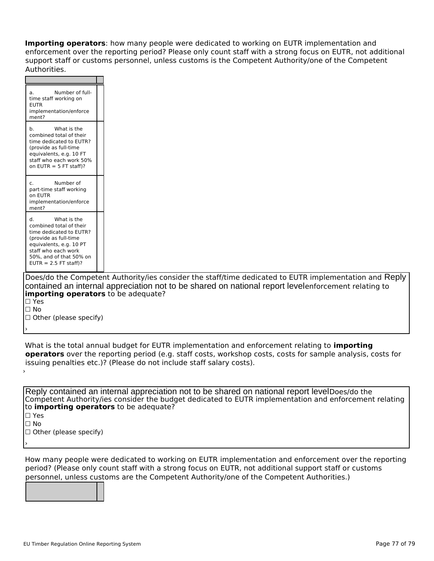**Importing operators**: how many people were dedicated to working on EUTR implementation and enforcement over the reporting period? Please only count staff with a strong focus on EUTR, not additional support staff or customs personnel, unless customs is the Competent Authority/one of the Competent Authorities.

| Number of full-<br>a.<br>time staff working on<br>EUTR<br>implementation/enforce<br>ment?                                                                                                               |  |
|---------------------------------------------------------------------------------------------------------------------------------------------------------------------------------------------------------|--|
| What is the<br>b.<br>combined total of their<br>time dedicated to EUTR?<br>(provide as full-time<br>equivalents, e.g. 10 FT<br>staff who each work 50%<br>on $EUTR = 5 FT staff$ ?                      |  |
| Number of<br>C.<br>part-time staff working<br>on EUTR<br>implementation/enforce<br>ment?                                                                                                                |  |
| What is the<br>d.<br>combined total of their<br>time dedicated to EUTR?<br>(provide as full-time<br>equivalents, e.g. 10 PT<br>staff who each work<br>50%, and of that 50% on<br>$EUTR = 2.5 FT staff?$ |  |
| Does/do the Competent Authority<br>contained an internal appreciatio<br>importing operators to be aded<br>$\square$ Yes                                                                                 |  |

lies consider the staff/time dedicated to EUTR implementation and Reply on not to be shared on national report levelenforcement relating to **i**uate? ☐ No

 $\Box$  Other (please specify)

What is the total annual budget for EUTR implementation and enforcement relating to **importing operators** over the reporting period (e.g. staff costs, workshop costs, costs for sample analysis, costs for issuing penalties etc.)? (Please do not include staff salary costs).

Reply contained an internal appreciation not to be shared on national report levelDoes/do the Competent Authority/ies consider the budget dedicated to EUTR implementation and enforcement relating to **importing operators** to be adequate? ☐ Yes ☐ No

□ Other (please specify)

›

›

›

How many people were dedicated to working on EUTR implementation and enforcement over the reporting period? (Please only count staff with a strong focus on EUTR, not additional support staff or customs personnel, unless customs are the Competent Authority/one of the Competent Authorities.)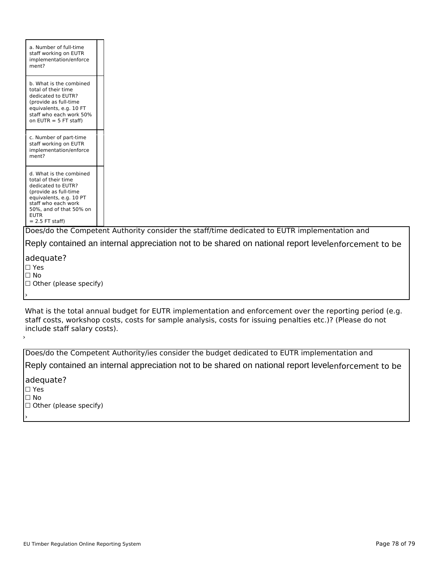| a. Number of full-time<br>staff working on EUTR<br>implementation/enforce<br>ment?                                                                                                                             |                                                                                                     |
|----------------------------------------------------------------------------------------------------------------------------------------------------------------------------------------------------------------|-----------------------------------------------------------------------------------------------------|
| b. What is the combined<br>total of their time<br>dedicated to EUTR?<br>(provide as full-time<br>equivalents, e.g. 10 FT<br>staff who each work 50%<br>on $EUTR = 5 FT start$                                  |                                                                                                     |
| c. Number of part-time<br>staff working on EUTR<br>implementation/enforce<br>ment?                                                                                                                             |                                                                                                     |
| d. What is the combined<br>total of their time<br>dedicated to EUTR?<br>(provide as full-time<br>equivalents, e.g. 10 PT<br>staff who each work<br>50%, and of that 50% on<br><b>EUTR</b><br>$= 2.5$ FT staff) |                                                                                                     |
|                                                                                                                                                                                                                | Does/do the Competent Authority consider the staff/time dedicated to EUTR implementation and        |
|                                                                                                                                                                                                                | Reply contained an internal appreciation not to be shared on national report levelenforcement to be |
| adequate?<br>$\square$ Yes<br>$\Box$ No<br>$\Box$ Other (please specify)                                                                                                                                       |                                                                                                     |

›

›

What is the total annual budget for EUTR implementation and enforcement over the reporting period (e.g. staff costs, workshop costs, costs for sample analysis, costs for issuing penalties etc.)? (Please do not include staff salary costs).

| Does/do the Competent Authority/ies consider the budget dedicated to EUTR implementation and        |
|-----------------------------------------------------------------------------------------------------|
| Reply contained an internal appreciation not to be shared on national report levelenforcement to be |
| adequate?                                                                                           |
| $\square$ Yes                                                                                       |
| $\Box$ No                                                                                           |
| $\Box$ Other (please specify)                                                                       |
|                                                                                                     |
|                                                                                                     |